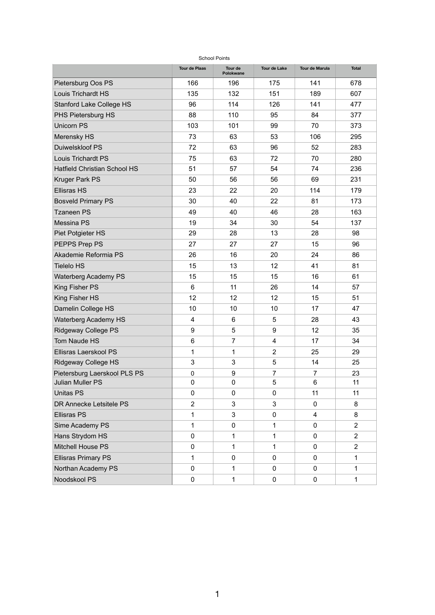| <b>School Points</b>                |                      |                      |                     |                       |                |  |  |  |  |  |  |
|-------------------------------------|----------------------|----------------------|---------------------|-----------------------|----------------|--|--|--|--|--|--|
|                                     | <b>Tour de Plaas</b> | Tour de<br>Polokwane | <b>Tour de Lake</b> | <b>Tour de Marula</b> | <b>Total</b>   |  |  |  |  |  |  |
| <b>Pietersburg Oos PS</b>           | 166                  | 196                  | 175                 | 141                   | 678            |  |  |  |  |  |  |
| <b>Louis Trichardt HS</b>           | 135                  | 132                  | 151                 | 189                   | 607            |  |  |  |  |  |  |
| <b>Stanford Lake College HS</b>     | 96                   | 114                  | 126                 | 141                   | 477            |  |  |  |  |  |  |
| <b>PHS Pietersburg HS</b>           | 88                   | 110                  | 95                  | 84                    | 377            |  |  |  |  |  |  |
| <b>Unicorn PS</b>                   | 103                  | 101                  | 99                  | 70                    | 373            |  |  |  |  |  |  |
| Merensky HS                         | 73                   | 63                   | 53                  | 106                   | 295            |  |  |  |  |  |  |
| <b>Duiwelskloof PS</b>              | 72                   | 63                   | 96                  | 52                    | 283            |  |  |  |  |  |  |
| <b>Louis Trichardt PS</b>           | 75                   | 63                   | 72                  | 70                    | 280            |  |  |  |  |  |  |
| <b>Hatfield Christian School HS</b> | 51                   | 57                   | 54                  | 74                    | 236            |  |  |  |  |  |  |
| <b>Kruger Park PS</b>               | 50                   | 56                   | 56                  | 69                    | 231            |  |  |  |  |  |  |
| <b>Ellisras HS</b>                  | 23                   | 22                   | 20                  | 114                   | 179            |  |  |  |  |  |  |
| <b>Bosveld Primary PS</b>           | 30                   | 40                   | 22                  | 81                    | 173            |  |  |  |  |  |  |
| Tzaneen PS                          | 49                   | 40                   | 46                  | 28                    | 163            |  |  |  |  |  |  |
| <b>Messina PS</b>                   | 19                   | 34                   | 30                  | 54                    | 137            |  |  |  |  |  |  |
| Piet Potgieter HS                   | 29                   | 28                   | 13                  | 28                    | 98             |  |  |  |  |  |  |
| PEPPS Prep PS                       | 27                   | 27                   | 27                  | 15                    | 96             |  |  |  |  |  |  |
| Akademie Reformia PS                | 26                   | 16                   | 20                  | 24                    | 86             |  |  |  |  |  |  |
| <b>Tielelo HS</b>                   | 15                   | 13                   | 12 <sub>2</sub>     | 41                    | 81             |  |  |  |  |  |  |
| <b>Waterberg Academy PS</b>         | 15                   | 15                   | 15                  | 16                    | 61             |  |  |  |  |  |  |
| <b>King Fisher PS</b>               | 6                    | 11                   | 26                  | 14                    | 57             |  |  |  |  |  |  |
| <b>King Fisher HS</b>               | 12                   | 12                   | 12 <sub>2</sub>     | 15                    | 51             |  |  |  |  |  |  |
| Damelin College HS                  | 10                   | 10                   | 10                  | 17                    | 47             |  |  |  |  |  |  |
| <b>Waterberg Academy HS</b>         | $\overline{4}$       | 6                    | 5                   | 28                    | 43             |  |  |  |  |  |  |
| <b>Ridgeway College PS</b>          | 9                    | 5                    | 9                   | 12                    | 35             |  |  |  |  |  |  |
| <b>Tom Naude HS</b>                 | $6\phantom{1}6$      | $\overline{7}$       | 4                   | 17                    | 34             |  |  |  |  |  |  |
| <b>Ellisras Laerskool PS</b>        | $\mathbf 1$          |                      | $\overline{2}$      | 25                    | 29             |  |  |  |  |  |  |
| <b>Ridgeway College HS</b>          | $\overline{3}$       | $\overline{3}$       | 5                   | 14                    | 25             |  |  |  |  |  |  |
| Pietersburg Laerskool PLS PS        | $\mathbf 0$          | 9                    | $\overline{7}$      | $\overline{7}$        | 23             |  |  |  |  |  |  |
| <b>Julian Muller PS</b>             | $\mathbf 0$          | $\mathbf 0$          | 5                   | 6                     | 11             |  |  |  |  |  |  |
| <b>Unitas PS</b>                    | $\overline{0}$       | $\overline{0}$       | $\overline{0}$      | 11                    | 11             |  |  |  |  |  |  |
| <b>DR Annecke Letsitele PS</b>      | $\overline{2}$       | $\mathfrak{B}$       | 3                   | $\overline{0}$        | 8              |  |  |  |  |  |  |
| <b>Ellisras PS</b>                  | $\mathbf 1$          | 3 <sup>1</sup>       | $\overline{0}$      | $\overline{4}$        | 8              |  |  |  |  |  |  |
| Sime Academy PS                     | 1                    | $\overline{0}$       | 1                   | $\mathbf 0$           | $\overline{2}$ |  |  |  |  |  |  |
| Hans Strydom HS                     | $\overline{0}$       |                      |                     | $\overline{0}$        | $\overline{2}$ |  |  |  |  |  |  |
| <b>Mitchell House PS</b>            | $\overline{0}$       |                      |                     | $\overline{0}$        | $\overline{2}$ |  |  |  |  |  |  |
| <b>Ellisras Primary PS</b>          | 1                    | 0                    | 0                   | $\overline{0}$        | 1              |  |  |  |  |  |  |
| Northan Academy PS                  | $\mathbf 0$          |                      | $\overline{0}$      | $\mathbf 0$           |                |  |  |  |  |  |  |
| Noodskool PS                        | $\boldsymbol{0}$     |                      | $\overline{0}$      | $\overline{0}$        |                |  |  |  |  |  |  |

1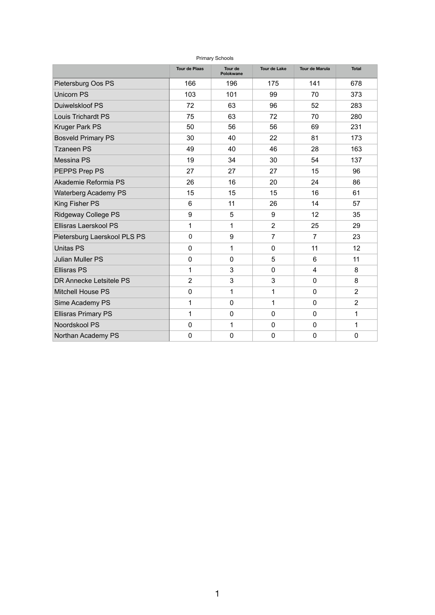| <b>Primary Schools</b>       |                      |                      |                     |                       |                |  |  |  |  |  |  |
|------------------------------|----------------------|----------------------|---------------------|-----------------------|----------------|--|--|--|--|--|--|
|                              | <b>Tour de Plaas</b> | Tour de<br>Polokwane | <b>Tour de Lake</b> | <b>Tour de Marula</b> | <b>Total</b>   |  |  |  |  |  |  |
| <b>Pietersburg Oos PS</b>    | 166                  | 196                  | 175                 | 141                   | 678            |  |  |  |  |  |  |
| <b>Unicorn PS</b>            | 103                  | 101                  | 99                  | 70                    | 373            |  |  |  |  |  |  |
| <b>Duiwelskloof PS</b>       | 72                   | 63                   | 96                  | 52                    | 283            |  |  |  |  |  |  |
| <b>Louis Trichardt PS</b>    | 75                   | 63                   | 72                  | 70                    | 280            |  |  |  |  |  |  |
| <b>Kruger Park PS</b>        | 50                   | 56                   | 56                  | 69                    | 231            |  |  |  |  |  |  |
| <b>Bosveld Primary PS</b>    | 30                   | 40                   | 22                  | 81                    | 173            |  |  |  |  |  |  |
| <b>Tzaneen PS</b>            | 49                   | 40                   | 46                  | 28                    | 163            |  |  |  |  |  |  |
| <b>Messina PS</b>            | 19                   | 34                   | 30                  | 54                    | 137            |  |  |  |  |  |  |
| PEPPS Prep PS                | 27                   | 27                   | 27                  | 15                    | 96             |  |  |  |  |  |  |
| Akademie Reformia PS         | 26                   | 16                   | 20                  | 24                    | 86             |  |  |  |  |  |  |
| <b>Waterberg Academy PS</b>  | 15                   | 15                   | $15\,$              | 16                    | 61             |  |  |  |  |  |  |
| <b>King Fisher PS</b>        | 6                    | 11                   | 26                  | 14                    | 57             |  |  |  |  |  |  |
| <b>Ridgeway College PS</b>   | 9                    | 5                    | 9                   | 12                    | 35             |  |  |  |  |  |  |
| Ellisras Laerskool PS        | 1                    | 1                    | $\overline{2}$      | 25                    | 29             |  |  |  |  |  |  |
| Pietersburg Laerskool PLS PS | $\overline{0}$       | 9                    | $\overline{7}$      | $\overline{7}$        | 23             |  |  |  |  |  |  |
| <b>Unitas PS</b>             | 0                    |                      | 0                   | 11                    | 12             |  |  |  |  |  |  |
| <b>Julian Muller PS</b>      | $\overline{0}$       | 0                    | 5                   | 6                     | 11             |  |  |  |  |  |  |
| <b>Ellisras PS</b>           |                      | 3                    | $\Omega$            | $\overline{4}$        | 8              |  |  |  |  |  |  |
| DR Annecke Letsitele PS      | $\overline{2}$       | 3                    | 3                   | $\overline{0}$        | 8              |  |  |  |  |  |  |
| <b>Mitchell House PS</b>     | $\overline{0}$       |                      |                     | $\overline{0}$        | $\overline{2}$ |  |  |  |  |  |  |
| <b>Sime Academy PS</b>       |                      | $\Omega$             |                     | $\Omega$              | $\overline{2}$ |  |  |  |  |  |  |
| <b>Ellisras Primary PS</b>   |                      | 0                    | 0                   | $\overline{0}$        |                |  |  |  |  |  |  |
| Noordskool PS                | $\overline{0}$       |                      | $\Omega$            | $\overline{0}$        |                |  |  |  |  |  |  |
| Northan Academy PS           | $\overline{0}$       | $\mathbf 0$          | $\overline{0}$      | $\overline{0}$        | $\overline{0}$ |  |  |  |  |  |  |

1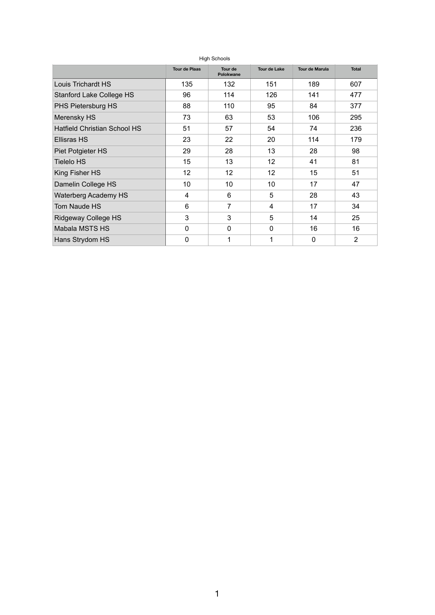| <b>High Schools</b>                 |                      |                      |                     |                       |                |  |  |  |  |  |  |
|-------------------------------------|----------------------|----------------------|---------------------|-----------------------|----------------|--|--|--|--|--|--|
|                                     | <b>Tour de Plaas</b> | Tour de<br>Polokwane | <b>Tour de Lake</b> | <b>Tour de Marula</b> | <b>Total</b>   |  |  |  |  |  |  |
| <b>Louis Trichardt HS</b>           | 135                  | 132                  | 151                 | 189                   | 607            |  |  |  |  |  |  |
| <b>Stanford Lake College HS</b>     | 96                   | 114                  | 126                 | 141                   | 477            |  |  |  |  |  |  |
| <b>PHS Pietersburg HS</b>           | 88                   | 110                  | 95                  | 84                    | 377            |  |  |  |  |  |  |
| <b>Merensky HS</b>                  | 73                   | 63                   | 53                  | 106                   | 295            |  |  |  |  |  |  |
| <b>Hatfield Christian School HS</b> | 51                   | 57                   | 54                  | 74                    | 236            |  |  |  |  |  |  |
| <b>Ellisras HS</b>                  | 23                   | 22                   | 20                  | 114                   | 179            |  |  |  |  |  |  |
| <b>Piet Potgieter HS</b>            | 29                   | 28                   | 13                  | 28                    | 98             |  |  |  |  |  |  |
| <b>Tielelo HS</b>                   | 15                   | 13                   | 12                  | 41                    | 81             |  |  |  |  |  |  |
| King Fisher HS                      | 12                   | 12                   | 12                  | 15                    | 51             |  |  |  |  |  |  |
| Damelin College HS                  | 10                   | 10                   | 10                  | 17                    | 47             |  |  |  |  |  |  |
| <b>Waterberg Academy HS</b>         | $\overline{4}$       | 6                    | 5                   | 28                    | 43             |  |  |  |  |  |  |
| <b>Tom Naude HS</b>                 | 6                    | $\overline{7}$       | $\overline{4}$      | 17                    | 34             |  |  |  |  |  |  |
| <b>Ridgeway College HS</b>          | 3                    | 3                    | 5                   | 14                    | 25             |  |  |  |  |  |  |
| <b>Mabala MSTS HS</b>               | $\overline{0}$       | $\overline{0}$       | $\overline{0}$      | 16                    | 16             |  |  |  |  |  |  |
| Hans Strydom HS                     | $\overline{0}$       | 1                    | 1                   | $\overline{0}$        | $\overline{2}$ |  |  |  |  |  |  |

1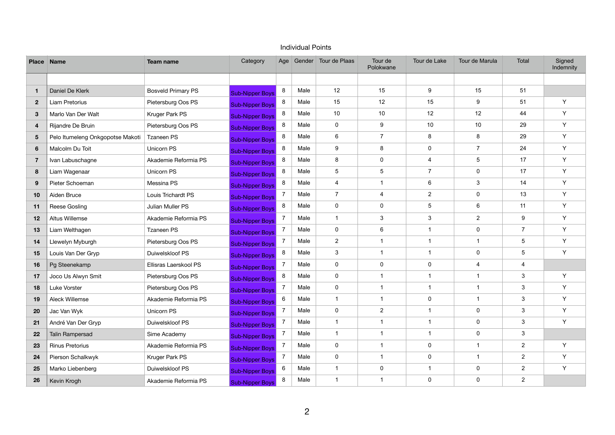|                 | Place Name                       | <b>Team name</b>          | Category               | Age            |      | Gender Tour de Plaas    | Tour de<br>Polokwane    | Tour de Lake   | Tour de Marula          | Total          | Signed<br>Indemnity |
|-----------------|----------------------------------|---------------------------|------------------------|----------------|------|-------------------------|-------------------------|----------------|-------------------------|----------------|---------------------|
|                 |                                  |                           |                        |                |      |                         |                         |                |                         |                |                     |
| $\mathbf{1}$    | Daniel De Klerk                  | <b>Bosveld Primary PS</b> | <b>Sub-Nipper Boys</b> | 8              | Male | 12                      | 15                      | 9              | 15                      | 51             |                     |
| 2 <sup>2</sup>  | Liam Pretorius                   | Pietersburg Oos PS        | <b>Sub-Nipper Boys</b> | 8              | Male | 15                      | 12                      | 15             | 9                       | 51             | Y                   |
| $3\phantom{.0}$ | Marlo Van Der Walt               | Kruger Park PS            | <b>Sub-Nipper Boys</b> | 8              | Male | 10                      | 10                      | 12             | 12                      | 44             | Y                   |
| 4               | Rijandre De Bruin                | Pietersburg Oos PS        | <b>Sub-Nipper Boys</b> | 8              | Male | $\mathsf{O}$            | $\boldsymbol{9}$        | 10             | 10 <sup>°</sup>         | 29             | Y                   |
| $5\overline{)}$ | Pelo Itumeleng Onkgopotse Makoti | Tzaneen PS                | <b>Sub-Nipper Boys</b> | 8              | Male | 6                       | $\overline{7}$          | 8              | 8                       | 29             | Y                   |
| $6\phantom{1}$  | Malcolm Du Toit                  | Unicorn PS                | <b>Sub-Nipper Boys</b> | 8              | Male | 9                       | 8                       | 0              | $\overline{7}$          | 24             | Y                   |
| $\overline{7}$  | Ivan Labuschagne                 | Akademie Reformia PS      | <b>Sub-Nipper Boys</b> | 8              | Male | 8                       | $\pmb{0}$               | 4              | 5                       | 17             | Y                   |
| 8               | Liam Wagenaar                    | Unicorn PS                | <b>Sub-Nipper Boys</b> | 8              | Male | 5                       | $\sqrt{5}$              | $\overline{7}$ | 0                       | 17             | Y                   |
| 9               | Pieter Schoeman                  | Messina PS                | <b>Sub-Nipper Boys</b> | 8              | Male | $\overline{\mathbf{4}}$ | $\mathbf 1$             | 6              | 3                       | 14             | Y                   |
| 10              | Aiden Bruce                      | Louis Trichardt PS        | <b>Sub-Nipper Boys</b> | $\overline{7}$ | Male | $\overline{7}$          | $\overline{\mathbf{4}}$ | $\overline{2}$ | 0                       | 13             | Y                   |
| 11              | Reese Gosling                    | Julian Muller PS          | <b>Sub-Nipper Boys</b> | 8              | Male | 0                       | $\pmb{0}$               | 5              | 6                       | 11             | Y                   |
| 12              | Altus Willemse                   | Akademie Reformia PS      | <b>Sub-Nipper Boys</b> | $\overline{7}$ | Male | $\mathbf 1$             | $\mathfrak{Z}$          | 3              | $\overline{2}$          | 9              | Y                   |
| 13              | Liam Welthagen                   | <b>Tzaneen PS</b>         | <b>Sub-Nipper Boys</b> | $\overline{7}$ | Male | 0                       | 6                       | -1             | 0                       | $\overline{7}$ | Y                   |
| 14              | Llewelyn Myburgh                 | Pietersburg Oos PS        | <b>Sub-Nipper Boys</b> | $\overline{7}$ | Male | $\overline{2}$          | -1                      | -1             | $\overline{\mathbf{1}}$ | $\sqrt{5}$     | Y                   |
| 15              | Louis Van Der Gryp               | Duiwelskloof PS           | <b>Sub-Nipper Boys</b> | 8              | Male | 3                       | $\mathbf 1$             | 1              | 0                       | 5              | Y                   |
| 16              | Pg Steenekamp                    | Ellisras Laerskool PS     | <b>Sub-Nipper Boys</b> | $\overline{7}$ | Male | 0                       | $\pmb{0}$               | 0              | 4                       | 4              |                     |
| 17              | Joco Us Alwyn Smit               | Pietersburg Oos PS        | <b>Sub-Nipper Boys</b> | 8              | Male | 0                       | -1                      | 1              | $\overline{\mathbf{1}}$ | $\mathbf{3}$   | Y                   |
| 18              | Luke Vorster                     | Pietersburg Oos PS        | <b>Sub-Nipper Boys</b> | $\overline{7}$ | Male | 0                       | $\mathbf 1$             | 1              | 1                       | $\mathfrak{S}$ | Y                   |
| 19              | Aleck Willemse                   | Akademie Reformia PS      | <b>Sub-Nipper Boys</b> | 6              | Male | $\mathbf{1}$            | -1                      | 0              | 1                       | 3              | Y                   |
| 20              | Jac Van Wyk                      | Unicorn PS                | <b>Sub-Nipper Boys</b> | $\overline{7}$ | Male | 0                       | $\overline{2}$          |                | $\mathbf{0}$            | 3              | Y                   |
| 21              | André Van Der Gryp               | Duiwelskloof PS           | <b>Sub-Nipper Boys</b> | $\overline{7}$ | Male |                         | -1                      | -1             | $\mathbf 0$             | $\mathfrak{S}$ | Y                   |
| 22              | Talin Rampersad                  | Sime Academy              | <b>Sub-Nipper Boys</b> | $\overline{7}$ | Male | $\mathbf{1}$            | $\mathbf 1$             | 1              | 0                       | 3              |                     |
| 23              | <b>Rinus Pretorius</b>           | Akademie Reformia PS      | <b>Sub-Nipper Boys</b> | $\overline{7}$ | Male | $\mathbf 0$             |                         | 0              | -1                      | $\overline{2}$ | Y                   |
| 24              | Pierson Schalkwyk                | Kruger Park PS            | <b>Sub-Nipper Boys</b> | $\overline{7}$ | Male | 0                       | $\mathbf 1$             | 0              | $\mathbf 1$             | $\overline{2}$ | Y                   |
| 25              | Marko Liebenberg                 | Duiwelskloof PS           | <b>Sub-Nipper Boys</b> | 6              | Male | $\mathbf{1}$            | $\mathbf 0$             | $\mathbf 1$    | 0                       | $\overline{2}$ | Y                   |
| 26              | Kevin Krogh                      | Akademie Reformia PS      | <b>Sub-Nipper Boys</b> | 8              | Male | $\mathbf 1$             | $\mathbf 1$             | $\mathbf 0$    | $\mathbf 0$             | $\overline{2}$ |                     |

## Individual Points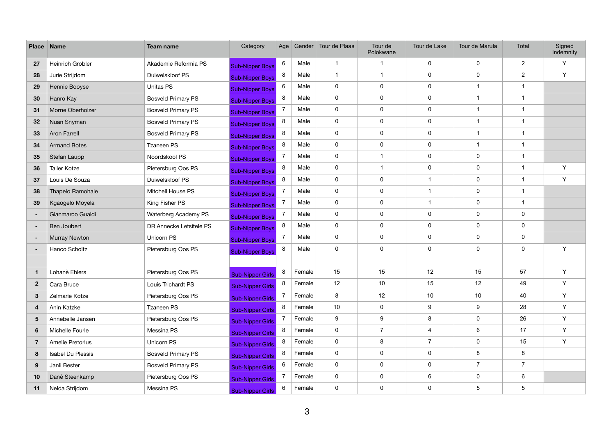| <b>Place</b>    | <b>Name</b>          | <b>Team name</b>          | Category                | Age            |        | Gender Tour de Plaas | Tour de<br>Polokwane | Tour de Lake     | Tour de Marula   | Total           | Signed<br>Indemnity |
|-----------------|----------------------|---------------------------|-------------------------|----------------|--------|----------------------|----------------------|------------------|------------------|-----------------|---------------------|
| 27              | Heinrich Grobler     | Akademie Reformia PS      | <b>Sub-Nipper Boys</b>  | 6              | Male   | $\mathbf 1$          | 1                    | $\mathbf 0$      | $\mathbf 0$      | $\overline{2}$  | Y                   |
| 28              | Jurie Strijdom       | Duiwelskloof PS           | <b>Sub-Nipper Boys</b>  | 8              | Male   | $\mathbf{1}$         | $\mathbf 1$          | $\mathbf 0$      | $\mathbf 0$      | $\overline{2}$  | Y                   |
| 29              | Hennie Booyse        | <b>Unitas PS</b>          | <b>Sub-Nipper Boys</b>  | 6              | Male   | $\mathbf 0$          | $\mathbf 0$          | $\mathbf 0$      | $\overline{1}$   |                 |                     |
| 30              | Hanro Kay            | <b>Bosveld Primary PS</b> | <b>Sub-Nipper Boys</b>  | 8              | Male   | $\pmb{0}$            | $\pmb{0}$            | $\mathbf 0$      | $\overline{1}$   |                 |                     |
| 31              | Morne Oberholzer     | <b>Bosveld Primary PS</b> | <b>Sub-Nipper Boys</b>  | $\overline{7}$ | Male   | $\mathbf 0$          | $\mathbf 0$          | $\mathbf 0$      | $\overline{1}$   | 1               |                     |
| 32              | Nuan Snyman          | <b>Bosveld Primary PS</b> | <b>Sub-Nipper Boys</b>  | 8              | Male   | $\mathbf 0$          | $\mathbf 0$          | $\mathbf 0$      | $\overline{1}$   |                 |                     |
| 33              | <b>Aron Farrell</b>  | <b>Bosveld Primary PS</b> | <b>Sub-Nipper Boys</b>  | 8              | Male   | $\pmb{0}$            | $\pmb{0}$            | $\mathbf 0$      | $\mathbf{1}$     | -1              |                     |
| 34              | <b>Armand Botes</b>  | Tzaneen PS                | <b>Sub-Nipper Boys</b>  | 8              | Male   | $\pmb{0}$            | $\pmb{0}$            | $\mathbf 0$      | $\mathbf{1}$     | -1              |                     |
| 35              | Stefan Laupp         | Noordskool PS             | <b>Sub-Nipper Boys</b>  | 7              | Male   | $\pmb{0}$            | $\mathbf 1$          | $\mathbf 0$      | $\mathbf 0$      |                 |                     |
| 36              | <b>Tailer Kotze</b>  | Pietersburg Oos PS        | <b>Sub-Nipper Boys</b>  | 8              | Male   | $\pmb{0}$            | $\mathbf{1}$         | $\pmb{0}$        | $\mathbf 0$      | -1              | Y                   |
| 37              | Louis De Souza       | Duiwelskloof PS           | <b>Sub-Nipper Boys</b>  | 8              | Male   | $\pmb{0}$            | $\mathbf 0$          | -1               | $\mathbf 0$      | -1              | Y                   |
| 38              | Thapelo Ramohale     | Mitchell House PS         | <b>Sub-Nipper Boys</b>  | $\overline{7}$ | Male   | $\mathbf 0$          | $\pmb{0}$            |                  | $\boldsymbol{0}$ |                 |                     |
| 39              | Kgaogelo Moyela      | King Fisher PS            | <b>Sub-Nipper Boys</b>  | $\overline{7}$ | Male   | $\mathbf 0$          | $\pmb{0}$            |                  | $\boldsymbol{0}$ | $\overline{1}$  |                     |
| $\blacksquare$  | Gianmarco Gualdi     | Waterberg Academy PS      | <b>Sub-Nipper Boys</b>  | $\overline{7}$ | Male   | $\pmb{0}$            | $\mathbf 0$          | $\mathbf 0$      | $\mathbf 0$      | $\mathbf 0$     |                     |
| $\sim$          | Ben Joubert          | DR Annecke Letsitele PS   | <b>Sub-Nipper Boys</b>  | 8              | Male   | $\mathbf 0$          | $\mathbf 0$          | $\mathbf 0$      | $\boldsymbol{0}$ | $\mathbf 0$     |                     |
| $\sim$          | <b>Murray Newton</b> | Unicorn PS                | <b>Sub-Nipper Boys</b>  | $\overline{7}$ | Male   | $\mathbf 0$          | $\pmb{0}$            | $\pmb{0}$        | $\boldsymbol{0}$ | $\mathbf 0$     |                     |
| ٠               | Hanco Scholtz        | Pietersburg Oos PS        | <b>Sub-Nipper Boys</b>  | 8              | Male   | $\pmb{0}$            | $\pmb{0}$            | $\mathbf 0$      | $\mathbf 0$      | $\mathbf 0$     | Y                   |
|                 |                      |                           |                         |                |        |                      |                      |                  |                  |                 |                     |
| $\mathbf{1}$    | Lohanè Ehlers        | Pietersburg Oos PS        | <b>Sub-Nipper Girls</b> | 8              | Female | 15                   | 15                   | 12               | 15               | 57              | Y                   |
| $\overline{2}$  | Cara Bruce           | Louis Trichardt PS        | <b>Sub-Nipper Girls</b> | 8              | Female | 12                   | 10                   | 15               | 12               | 49              | Y                   |
| 3               | Zelmarie Kotze       | Pietersburg Oos PS        | <b>Sub-Nipper Girls</b> | $\overline{7}$ | Female | 8                    | 12                   | 10               | 10               | 40              | Y                   |
| 4               | Anin Katzke          | Tzaneen PS                | <b>Sub-Nipper Girls</b> | 8              | Female | 10                   | $\mathbf 0$          | $\boldsymbol{9}$ | $\boldsymbol{9}$ | 28              | Y                   |
| $5\phantom{.0}$ | Annebelle Jansen     | Pietersburg Oos PS        | <b>Sub-Nipper Girls</b> | $\overline{7}$ | Female | 9                    | $\boldsymbol{9}$     | 8                | $\mathbf 0$      | 26              | Y                   |
| $6\phantom{1}$  | Michelle Fourie      | Messina PS                | <b>Sub-Nipper Girls</b> | 8              | Female | $\mathbf 0$          | $\overline{7}$       | $\overline{4}$   | $6\phantom{.}6$  | 17              | Y                   |
| $\overline{7}$  | Amelie Pretorius     | Unicorn PS                | <b>Sub-Nipper Girls</b> | 8              | Female | $\mathbf 0$          | $\bf 8$              | $\overline{7}$   | $\mathbf 0$      | 15              | Y                   |
| 8               | Isabel Du Plessis    | <b>Bosveld Primary PS</b> | <b>Sub-Nipper Girls</b> | 8              | Female | $\mathbf 0$          | $\mathbf 0$          | $\mathbf 0$      | $\bf 8$          | 8               |                     |
| 9               | Janli Bester         | <b>Bosveld Primary PS</b> | <b>Sub-Nipper Girls</b> | 6              | Female | $\mathbf 0$          | $\mathbf 0$          | $\mathbf 0$      | $\overline{7}$   | $\overline{7}$  |                     |
| 10              | Dané Steenkamp       | Pietersburg Oos PS        | <b>Sub-Nipper Girls</b> | $\overline{7}$ | Female | $\mathbf 0$          | $\mathbf 0$          | $\,6\,$          | $\mathbf 0$      | $6\phantom{.}6$ |                     |
| 11              | Nelda Strijdom       | Messina PS                | <b>Sub-Nipper Girls</b> | 6              | Female | $\mathbf 0$          | $\pmb{0}$            | $\mathbf 0$      | $\overline{5}$   | $\overline{5}$  |                     |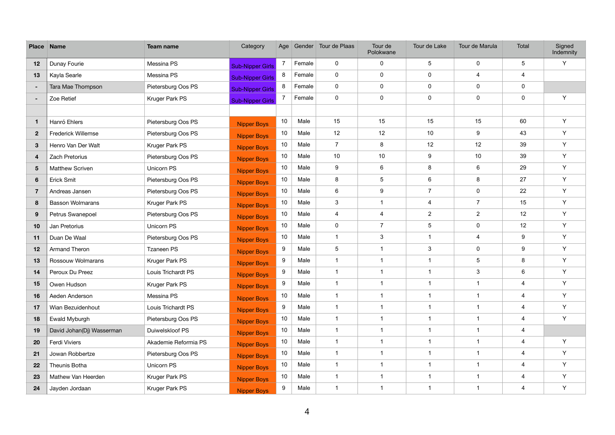| <b>Place</b>    | <b>Name</b>               | <b>Team name</b>     | Category                | Age             |        | Gender Tour de Plaas    | Tour de<br>Polokwane    | Tour de Lake            | Tour de Marula            | Total                   | Signed<br>Indemnity |
|-----------------|---------------------------|----------------------|-------------------------|-----------------|--------|-------------------------|-------------------------|-------------------------|---------------------------|-------------------------|---------------------|
| 12              | Dunay Fourie              | Messina PS           | <b>Sub-Nipper Girls</b> | $7^{\circ}$     | Female | $\mathbf 0$             | 0                       | $\overline{5}$          | $\mathbf 0$               | 5                       | Y                   |
| 13              | Kayla Searle              | Messina PS           | <b>Sub-Nipper Girls</b> | 8               | Female | 0                       | 0                       | $\pmb{0}$               | $\overline{\mathbf{4}}$   | $\overline{4}$          |                     |
| ٠               | Tara Mae Thompson         | Pietersburg Oos PS   | <b>Sub-Nipper Girls</b> | 8               | Female | $\mathbf 0$             | 0                       | $\mathbf 0$             | $\pmb{0}$                 | $\pmb{0}$               |                     |
| ٠               | Zoe Retief                | Kruger Park PS       | <b>Sub-Nipper Girls</b> | $\overline{7}$  | Female | $\mathbf 0$             | 0                       | $\mathbf 0$             | $\pmb{0}$                 | $\mathbf 0$             | Y                   |
|                 |                           |                      |                         |                 |        |                         |                         |                         |                           |                         |                     |
| $\mathbf 1$     | Hanró Ehlers              | Pietersburg Oos PS   | <b>Nipper Boys</b>      | 10 <sup>°</sup> | Male   | 15                      | 15                      | 15                      | 15                        | 60                      | Y                   |
| $\mathbf{2}$    | <b>Frederick Willemse</b> | Pietersburg Oos PS   | <b>Nipper Boys</b>      | 10 <sup>°</sup> | Male   | 12                      | 12                      | 10                      | 9                         | 43                      | Y                   |
| $\mathbf{3}$    | Henro Van Der Walt        | Kruger Park PS       | <b>Nipper Boys</b>      | 10 <sup>°</sup> | Male   | $\overline{7}$          | 8                       | 12                      | 12                        | 39                      | Y                   |
| $\overline{4}$  | Zach Pretorius            | Pietersburg Oos PS   | <b>Nipper Boys</b>      | 10 <sup>°</sup> | Male   | 10 <sup>°</sup>         | 10 <sup>1</sup>         | $\boldsymbol{9}$        | 10                        | 39                      | Y                   |
| $5\phantom{.0}$ | Matthew Scriven           | Unicorn PS           | <b>Nipper Boys</b>      | 10 <sup>°</sup> | Male   | 9                       | 6                       | 8                       | 6                         | 29                      | Y                   |
| 6               | <b>Erick Smit</b>         | Pietersburg Oos PS   | <b>Nipper Boys</b>      | 10 <sup>°</sup> | Male   | 8                       | 5                       | $6\phantom{1}$          | 8                         | 27                      | Y                   |
| $\overline{7}$  | Andreas Jansen            | Pietersburg Oos PS   | <b>Nipper Boys</b>      | 10 <sup>°</sup> | Male   | 6                       | 9                       | $\overline{7}$          | $\mathbf 0$               | 22                      | Y                   |
| 8               | <b>Basson Wolmarans</b>   | Kruger Park PS       | <b>Nipper Boys</b>      | 10 <sup>°</sup> | Male   | 3                       | $\overline{1}$          | $\overline{4}$          | $\overline{7}$            | 15                      | Y                   |
| 9               | Petrus Swanepoel          | Pietersburg Oos PS   | <b>Nipper Boys</b>      | 10 <sup>°</sup> | Male   | 4                       | $\overline{4}$          | $\overline{2}$          | $\boldsymbol{2}$          | 12                      | Y                   |
| 10              | Jan Pretorius             | Unicorn PS           | <b>Nipper Boys</b>      | 10 <sub>1</sub> | Male   | $\mathbf 0$             | $\overline{7}$          | $\overline{5}$          | $\pmb{0}$                 | 12                      | Y                   |
| 11              | Duan De Waal              | Pietersburg Oos PS   | <b>Nipper Boys</b>      | 10 <sup>°</sup> | Male   | $\mathbf{1}$            | 3                       | $\overline{1}$          | 4                         | 9                       | Y                   |
| 12              | Armand Theron             | <b>Tzaneen PS</b>    | <b>Nipper Boys</b>      | 9               | Male   | 5                       | $\overline{\mathbf{1}}$ | $\mathbf{3}$            | $\pmb{0}$                 | 9                       | Y                   |
| 13              | Rossouw Wolmarans         | Kruger Park PS       | <b>Nipper Boys</b>      | 9               | Male   | $\overline{1}$          | $\overline{1}$          | -1                      | $\sqrt{5}$                | $\bf 8$                 | Y                   |
| 14              | Peroux Du Preez           | Louis Trichardt PS   | <b>Nipper Boys</b>      | 9               | Male   | $\overline{1}$          | $\overline{1}$          | $\overline{1}$          | $\ensuremath{\mathsf{3}}$ | $\,6\,$                 | Y                   |
| 15              | Owen Hudson               | Kruger Park PS       | <b>Nipper Boys</b>      | 9               | Male   | $\overline{1}$          | $\overline{\mathbf{1}}$ | -1                      | $\mathbf{1}$              | 4                       | Y                   |
| 16              | Aeden Anderson            | Messina PS           | Nipper Boys             | 10              | Male   | $\overline{1}$          | $\overline{\mathbf{1}}$ | $\overline{\mathbf{1}}$ | $\mathbf 1$               | $\overline{4}$          | Y                   |
| 17              | Wian Bezuidenhout         | Louis Trichardt PS   | <b>Nipper Boys</b>      | 9               | Male   | $\overline{1}$          | $\overline{\mathbf{1}}$ | $\mathbf{1}$            | $\mathbf{1}$              | $\overline{4}$          | Y                   |
| 18              | Ewald Myburgh             | Pietersburg Oos PS   | <b>Nipper Boys</b>      | 10 <sub>1</sub> | Male   | $\overline{\mathbf{1}}$ |                         |                         | $\mathbf 1$               | 4                       | Y                   |
| 19              | David Johan(Dj) Wasserman | Duiwelskloof PS      | <b>Nipper Boys</b>      | 10 <sub>1</sub> | Male   | $\overline{1}$          | $\overline{1}$          | -1                      | $\mathbf{1}$              | 4                       |                     |
| 20              | Ferdi Viviers             | Akademie Reformia PS | <b>Nipper Boys</b>      | 10 <sup>°</sup> | Male   | $\mathbf{1}$            | $\overline{1}$          | $\overline{\mathbf{1}}$ | $\mathbf{1}$              | 4                       | Y                   |
| 21              | Jowan Robbertze           | Pietersburg Oos PS   | <b>Nipper Boys</b>      | 10 <sub>1</sub> | Male   | $\mathbf{1}$            | 1                       | -1                      | $\mathbf{1}$              | $\overline{4}$          | Y                   |
| 22              | Theunis Botha             | Unicorn PS           | <b>Nipper Boys</b>      | 10 <sub>1</sub> | Male   | $\overline{1}$          | $\overline{1}$          | -1                      | $\mathbf{1}$              | $\overline{\mathbf{4}}$ | Y                   |
| 23              | Mathew Van Heerden        | Kruger Park PS       | <b>Nipper Boys</b>      | 10 <sub>1</sub> | Male   | $\overline{1}$          | $\overline{1}$          | $\overline{\mathbf{1}}$ | $\mathbf{1}$              | 4                       | Y                   |
| 24              | Jayden Jordaan            | Kruger Park PS       | <b>Nipper Boys</b>      | 9               | Male   | $\mathbf{1}$            | $\overline{1}$          | $\overline{\mathbf{1}}$ | $\mathbf{1}$              | $\overline{4}$          | Y                   |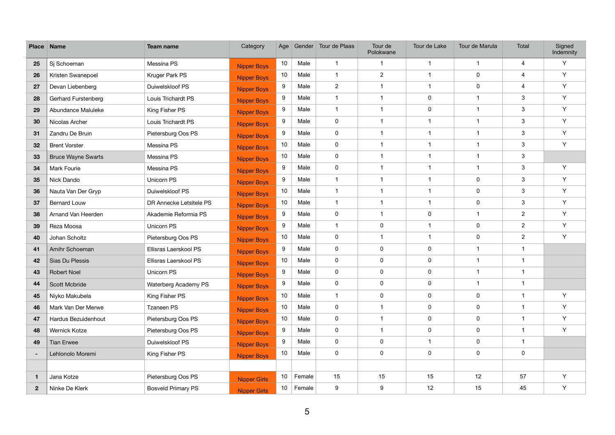| <b>Place</b>   | <b>Name</b>                | <b>Team name</b>          | Category            | Age             |             | Gender Tour de Plaas    | Tour de<br>Polokwane    | Tour de Lake   | Tour de Marula | Total                   | Signed<br>Indemnity |
|----------------|----------------------------|---------------------------|---------------------|-----------------|-------------|-------------------------|-------------------------|----------------|----------------|-------------------------|---------------------|
| 25             | Sj Schoeman                | Messina PS                | <b>Nipper Boys</b>  | 10 <sup>°</sup> | Male        | $\overline{1}$          | $\mathbf 1$             | -1             | $\mathbf{1}$   | 4                       | Y                   |
| 26             | Kristen Swanepoel          | Kruger Park PS            | <b>Nipper Boys</b>  | 10 <sub>1</sub> | Male        | $\overline{1}$          | $\overline{2}$          | -1             | $\pmb{0}$      | 4                       | Y                   |
| 27             | Devan Liebenberg           | Duiwelskloof PS           | <b>Nipper Boys</b>  | 9               | Male        | $\overline{2}$          | $\overline{1}$          | -1             | $\pmb{0}$      | $\overline{\mathbf{4}}$ | Y                   |
| 28             | <b>Gerhard Furstenberg</b> | Louis Trichardt PS        | <b>Nipper Boys</b>  | 9               | Male        | $\overline{\mathbf{1}}$ | $\overline{1}$          | $\mathbf 0$    | $\mathbf 1$    | 3                       | Y                   |
| 29             | Abundance Maluleke         | King Fisher PS            | <b>Nipper Boys</b>  | 9               | Male        | $\overline{1}$          | $\overline{1}$          | $\pmb{0}$      | $\mathbf 1$    | $\mathbf{3}$            | Y                   |
| 30             | Nicolas Archer             | Louis Trichardt PS        | <b>Nipper Boys</b>  | 9               | Male        | 0                       | $\overline{1}$          | -1             | $\mathbf 1$    | $\mathbf{3}$            | Y                   |
| 31             | Zandru De Bruin            | Pietersburg Oos PS        | <b>Nipper Boys</b>  | 9               | Male        | 0                       | $\overline{1}$          | -1             | $\mathbf 1$    | $\mathbf{3}$            | Y                   |
| 32             | <b>Brent Vorster</b>       | Messina PS                | <b>Nipper Boys</b>  | 10 <sup>°</sup> | Male        | $\mathbf 0$             | -1                      | -1             | $\mathbf 1$    | $\mathbf{3}$            | Y                   |
| 33             | <b>Bruce Wayne Swarts</b>  | Messina PS                | <b>Nipper Boys</b>  | 10 <sup>°</sup> | Male        | $\mathbf 0$             | $\overline{1}$          | -1             | $\overline{1}$ | $\mathbf{3}$            |                     |
| 34             | Mark Fourie                | Messina PS                | <b>Nipper Boys</b>  | 9               | Male        | 0                       | $\overline{1}$          | -1             | $\mathbf{1}$   | $\mathbf{3}$            | Y                   |
| 35             | Nick Dando                 | Unicorn PS                | <b>Nipper Boys</b>  | 9               | Male        | $\overline{\mathbf{1}}$ | -1                      | -1             | $\pmb{0}$      | $\mathbf{3}$            | Y                   |
| 36             | Nauta Van Der Gryp         | Duiwelskloof PS           | <b>Nipper Boys</b>  | 10 <sup>°</sup> | Male        | $\overline{1}$          | $\overline{1}$          | -1             | $\pmb{0}$      | $\mathbf{3}$            | Y                   |
| 37             | <b>Bernard Louw</b>        | DR Annecke Letsitele PS   | <b>Nipper Boys</b>  | 10 <sup>°</sup> | Male        | $\overline{1}$          | $\overline{1}$          | -1             | $\pmb{0}$      | $\mathbf{3}$            | Y                   |
| 38             | Arnand Van Heerden         | Akademie Reformia PS      | <b>Nipper Boys</b>  | 9               | Male        | $\mathbf 0$             | $\overline{1}$          | $\mathbf 0$    | $\overline{1}$ | $\overline{2}$          | Y                   |
| 39             | Reza Moosa                 | Unicorn PS                | <b>Nipper Boys</b>  | 9               | Male        | $\overline{1}$          | 0                       | -1             | $\pmb{0}$      | $\mathbf{2}$            | Y                   |
| 40             | Johan Scholtz              | Pietersburg Oos PS        | <b>Nipper Boys</b>  | 10 <sup>°</sup> | Male        | 0                       | $\overline{1}$          | $\overline{1}$ | $\pmb{0}$      | $\mathbf{2}$            | Y                   |
| 41             | Amihr Schoeman             | Ellisras Laerskool PS     | <b>Nipper Boys</b>  | 9               | Male        | 0                       | 0                       | $\mathbf 0$    | $\overline{1}$ | $\overline{1}$          |                     |
| 42             | Sias Du Plessis            | Ellisras Laerskool PS     | <b>Nipper Boys</b>  | 10 <sup>°</sup> | Male        | $\mathbf 0$             | 0                       | $\pmb{0}$      | $\mathbf 1$    | $\mathbf{1}$            |                     |
| 43             | <b>Robert Noel</b>         | Unicorn PS                | <b>Nipper Boys</b>  | 9               | Male        | 0                       | 0                       | $\mathbf 0$    | $\overline{1}$ | $\overline{1}$          |                     |
| 44             | Scott Mcbride              | Waterberg Academy PS      | <b>Nipper Boys</b>  | 9               | Male        | $\mathbf 0$             | 0                       | $\mathbf 0$    | $\mathbf 1$    | $\overline{1}$          |                     |
| 45             | Niyko Makubela             | King Fisher PS            | Nipper Boys         | 10              | Male        | $\overline{1}$          | 0                       | $\mathbf 0$    | $\pmb{0}$      | $\overline{1}$          | Y                   |
| 46             | Mark Van Der Merwe         | Tzaneen PS                | <b>Nipper Boys</b>  | 10 <sup>°</sup> | Male        | $\mathbf 0$             | $\overline{1}$          | $\pmb{0}$      | $\mathbf 0$    | $\mathbf{1}$            | Y                   |
| 47             | Hardus Bezuidenhout        | Pietersburg Oos PS        | <b>Nipper Boys</b>  | 10 <sub>1</sub> | Male        | $\mathbf 0$             | $\overline{\mathbf{1}}$ | $\pmb{0}$      | 0              | $\mathbf{1}$            | Y                   |
| 48             | <b>Wernick Kotze</b>       | Pietersburg Oos PS        | <b>Nipper Boys</b>  | 9               | Male        | $\mathbf 0$             | $\overline{1}$          | $\pmb{0}$      | $\mathbf 0$    | $\mathbf 1$             | Y                   |
| 49             | <b>Tian Erwee</b>          | Duiwelskloof PS           | <b>Nipper Boys</b>  | 9               | Male        | $\mathbf 0$             | $\mathbf 0$             | $\mathbf{1}$   | $\mathbf 0$    | $\mathbf{1}$            |                     |
| $\blacksquare$ | Lehlonolo Moremi           | King Fisher PS            | <b>Nipper Boys</b>  | 10 <sub>1</sub> | Male        | $\mathbf 0$             | $\mathbf 0$             | $\pmb{0}$      | $\mathbf 0$    | $\pmb{0}$               |                     |
|                |                            |                           |                     |                 |             |                         |                         |                |                |                         |                     |
| $\mathbf{1}$   | Jana Kotze                 | Pietersburg Oos PS        | <b>Nipper Girls</b> | 10 <sub>1</sub> | Female      | 15                      | 15                      | 15             | 12             | 57                      | Y                   |
| $\mathbf{2}$   | Ninke De Klerk             | <b>Bosveld Primary PS</b> | <b>Nipper Girls</b> |                 | 10   Female | 9                       | 9                       | 12             | 15             | 45                      | Y                   |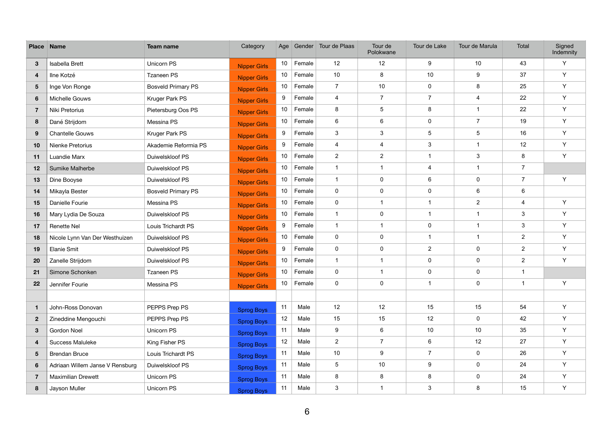| <b>Place</b>            | <b>Name</b>                     | Team name                 | Category            | Age             |        | Gender Tour de Plaas | Tour de<br>Polokwane    | Tour de Lake              | Tour de Marula | Total          | Signed<br>Indemnity |
|-------------------------|---------------------------------|---------------------------|---------------------|-----------------|--------|----------------------|-------------------------|---------------------------|----------------|----------------|---------------------|
| $3\phantom{a}$          | Isabella Brett                  | Unicorn PS                | <b>Nipper Girls</b> | 10 <sup>°</sup> | Female | 12                   | 12                      | 9                         | 10             | 43             | Y                   |
| $\overline{4}$          | Ilne Kotzé                      | Tzaneen PS                | <b>Nipper Girls</b> | 10 <sup>1</sup> | Female | 10 <sup>°</sup>      | 8                       | 10                        | 9              | 37             | Y                   |
| $5\phantom{.0}$         | Inge Von Ronge                  | <b>Bosveld Primary PS</b> | <b>Nipper Girls</b> | 10 <sup>°</sup> | Female | $\overline{7}$       | 10                      | $\mathbf 0$               | 8              | 25             | Y                   |
| $6\phantom{1}$          | Michelle Gouws                  | Kruger Park PS            | <b>Nipper Girls</b> | 9               | Female | $\overline{4}$       | $\overline{7}$          | $\overline{7}$            | 4              | 22             | Y                   |
| $\overline{7}$          | Niki Pretorius                  | Pietersburg Oos PS        | <b>Nipper Girls</b> | 10 <sup>1</sup> | Female | 8                    | 5                       | 8                         | 1              | 22             | Y                   |
| 8                       | Dané Strijdom                   | Messina PS                | Nipper Girls        | 10 <sup>°</sup> | Female | 6                    | 6                       | $\mathbf 0$               | $\overline{7}$ | 19             | Y                   |
| 9                       | <b>Chantelle Gouws</b>          | Kruger Park PS            | <b>Nipper Girls</b> | 9               | Female | 3                    | 3                       | 5                         | 5              | 16             | Y                   |
| 10                      | Nienke Pretorius                | Akademie Reformia PS      | Nipper Girls        | 9               | Female | $\overline{4}$       | $\overline{\mathbf{4}}$ | 3                         | $\mathbf 1$    | 12             | Y                   |
| 11                      | Luandie Marx                    | Duiwelskloof PS           | <b>Nipper Girls</b> | 10 <sup>°</sup> | Female | $\overline{2}$       | $\overline{2}$          | $\overline{1}$            | 3              | 8              | Y                   |
| $12 \,$                 | Sumike Malherbe                 | Duiwelskloof PS           | <b>Nipper Girls</b> | 10 <sup>°</sup> | Female | $\overline{1}$       | $\mathbf 1$             | 4                         |                | $\overline{7}$ |                     |
| 13                      | Dine Booyse                     | Duiwelskloof PS           | <b>Nipper Girls</b> | 10 <sup>1</sup> | Female | $\overline{1}$       | $\mathbf 0$             | $6\phantom{1}$            | 0              | $\overline{7}$ | Y                   |
| 14                      | Mikayla Bester                  | <b>Bosveld Primary PS</b> | <b>Nipper Girls</b> | 10 <sup>1</sup> | Female | $\mathbf 0$          | $\mathbf 0$             | $\overline{0}$            | 6              | 6              |                     |
| 15                      | Danielle Fourie                 | Messina PS                | <b>Nipper Girls</b> | 10 <sup>°</sup> | Female | $\mathbf 0$          | $\overline{1}$          | $\overline{\mathbf{1}}$   | $\overline{2}$ | 4              | Y                   |
| 16                      | Mary Lydia De Souza             | Duiwelskloof PS           | Nipper Girls        | 10 <sup>°</sup> | Female | $\overline{1}$       | $\mathbf 0$             | $\mathbf 1$               | 1              | 3              | Y                   |
| 17                      | Renette Nel                     | Louis Trichardt PS        | <b>Nipper Girls</b> | 9               | Female | $\overline{1}$       | $\mathbf 1$             | $\mathbf 0$               |                | $\mathsf 3$    | Y                   |
| 18                      | Nicole Lynn Van Der Westhuizen  | Duiwelskloof PS           | <b>Nipper Girls</b> | 10 <sup>°</sup> | Female | $\mathbf 0$          | $\mathbf 0$             | -1                        | 1              | $\overline{2}$ | Y                   |
| 19                      | <b>Elanie Smit</b>              | Duiwelskloof PS           | <b>Nipper Girls</b> | 9               | Female | $\mathbf 0$          | $\mathbf 0$             | $\overline{2}$            | 0              | $\overline{2}$ | Y                   |
| 20                      | Zanelle Strijdom                | Duiwelskloof PS           | <b>Nipper Girls</b> | 10 <sup>1</sup> | Female | $\overline{1}$       | $\overline{1}$          | $\mathbf 0$               | 0              | $\overline{2}$ | Y                   |
| 21                      | Simone Schonken                 | <b>Tzaneen PS</b>         | <b>Nipper Girls</b> | 10 <sup>°</sup> | Female | $\mathbf 0$          | $\overline{1}$          | $\overline{0}$            | 0              | $\mathbf 1$    |                     |
| 22                      | Jennifer Fourie                 | Messina PS                | <b>Nipper Girls</b> | 10 <sup>°</sup> | Female | $\mathbf 0$          | $\mathbf 0$             | $\overline{1}$            | 0              | -1             | Υ                   |
|                         |                                 |                           |                     |                 |        |                      |                         |                           |                |                |                     |
| $\mathbf{1}$            | John-Ross Donovan               | PEPPS Prep PS             | <b>Sprog Boys</b>   | 11              | Male   | 12                   | 12                      | 15                        | 15             | 54             | Y                   |
| $\mathbf{2}$            | Zineddine Mengouchi             | PEPPS Prep PS             | <b>Sprog Boys</b>   | 12              | Male   | 15                   | 15                      | 12                        | 0              | 42             | Y                   |
| $3\phantom{a}$          | <b>Gordon Noel</b>              | Unicorn PS                | <b>Sprog Boys</b>   | 11              | Male   | 9                    | $6\phantom{.}6$         | 10                        | 10             | 35             | Y                   |
| $\overline{\mathbf{4}}$ | Success Maluleke                | King Fisher PS            | <b>Sprog Boys</b>   | 12              | Male   | $\overline{2}$       | $\overline{7}$          | 6                         | 12             | 27             | Y                   |
| $5\phantom{.0}$         | <b>Brendan Bruce</b>            | Louis Trichardt PS        | <b>Sprog Boys</b>   | 11              | Male   | 10                   | 9                       | $\overline{7}$            | 0              | 26             | Y                   |
| $6\phantom{1}$          | Adriaan Willem Janse V Rensburg | Duiwelskloof PS           | <b>Sprog Boys</b>   | 11              | Male   | $5\phantom{.0}$      | 10                      | $\boldsymbol{9}$          | $\pmb{0}$      | 24             | Y                   |
| $\overline{7}$          | <b>Maximilian Drewett</b>       | Unicorn PS                | <b>Sprog Boys</b>   | 11              | Male   | 8                    | 8                       | 8                         | 0              | 24             | Y                   |
| 8                       | Jayson Muller                   | Unicorn PS                | <b>Sprog Boys</b>   | 11              | Male   | $\mathbf{3}$         | -1                      | $\ensuremath{\mathsf{3}}$ | 8              | 15             | Y                   |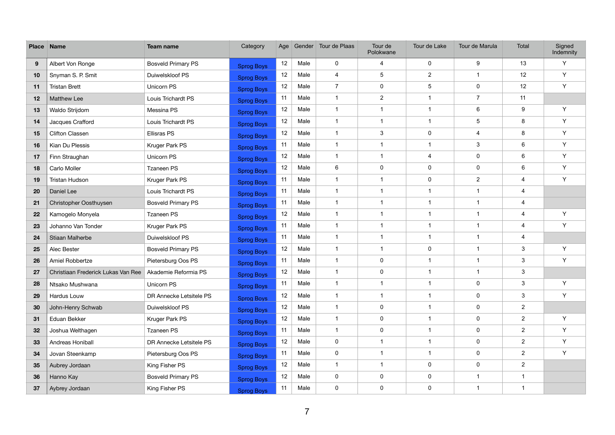| <b>Place</b>    | <b>Name</b>                        | <b>Team name</b>          | Category          | Age |      | Gender Tour de Plaas    | Tour de<br>Polokwane    | Tour de Lake            | Tour de Marula | Total                     | Signed<br>Indemnity |
|-----------------|------------------------------------|---------------------------|-------------------|-----|------|-------------------------|-------------------------|-------------------------|----------------|---------------------------|---------------------|
| 9               | Albert Von Ronge                   | <b>Bosveld Primary PS</b> | <b>Sprog Boys</b> | 12  | Male | $\mathbf 0$             | 4                       | $\pmb{0}$               | 9              | 13                        | Y                   |
| 10              | Snyman S. P. Smit                  | Duiwelskloof PS           | <b>Sprog Boys</b> | 12  | Male | 4                       | 5                       | $\overline{2}$          | $\mathbf 1$    | 12                        | Y                   |
| 11              | <b>Tristan Brett</b>               | Unicorn PS                | <b>Sprog Boys</b> | 12  | Male | $\overline{7}$          | $\mathbf 0$             | $\overline{5}$          | 0              | 12                        | Y                   |
| 12              | <b>Matthew Lee</b>                 | Louis Trichardt PS        | <b>Sprog Boys</b> | 11  | Male | $\overline{\mathbf{1}}$ | $\overline{2}$          | -1                      | $\overline{7}$ | 11                        |                     |
| 13              | Waldo Strijdom                     | Messina PS                | <b>Sprog Boys</b> | 12  | Male | $\overline{1}$          | $\overline{1}$          | $\overline{1}$          | 6              | 9                         | Y                   |
| 14              | Jacques Crafford                   | Louis Trichardt PS        | <b>Sprog Boys</b> | 12  | Male | $\overline{1}$          | $\overline{1}$          | $\overline{\mathbf{1}}$ | 5              | 8                         | Y                   |
| 15              | <b>Clifton Classen</b>             | <b>Ellisras PS</b>        | <b>Sprog Boys</b> | 12  | Male | $\overline{\mathbf{1}}$ | 3                       | $\mathbf 0$             | 4              | 8                         | Y                   |
| 16              | Kian Du Plessis                    | Kruger Park PS            | <b>Sprog Boys</b> | 11  | Male | $\overline{1}$          | $\overline{\mathbf{1}}$ | $\overline{1}$          | 3              | 6                         | Y                   |
| 17              | Finn Straughan                     | Unicorn PS                | <b>Sprog Boys</b> | 12  | Male | $\overline{1}$          | -1                      | $\overline{4}$          | 0              | $\,6\,$                   | Y                   |
| 18              | Carlo Moller                       | <b>Tzaneen PS</b>         | <b>Sprog Boys</b> | 12  | Male | 6                       | $\mathbf 0$             | $\mathbf 0$             | 0              | 6                         | Y                   |
| 19              | <b>Tristan Hudson</b>              | Kruger Park PS            | <b>Sprog Boys</b> | 11  | Male | $\overline{1}$          | $\overline{\mathbf{1}}$ | $\mathbf 0$             | $\overline{2}$ | 4                         | Y                   |
| 20              | Daniel Lee                         | Louis Trichardt PS        | <b>Sprog Boys</b> | 11  | Male | $\overline{1}$          | 1                       | $\overline{1}$          | -1             | $\overline{\mathbf{4}}$   |                     |
| 21              | Christopher Oosthuysen             | <b>Bosveld Primary PS</b> | <b>Sprog Boys</b> | 11  | Male | $\overline{1}$          | $\overline{\mathbf{1}}$ | -1                      | $\mathbf 1$    | 4                         |                     |
| 22              | Kamogelo Monyela                   | Tzaneen PS                | <b>Sprog Boys</b> | 12  | Male | $\overline{1}$          | $\overline{\mathbf{1}}$ | -1                      | -1             | 4                         | Y                   |
| 23              | Johanno Van Tonder                 | Kruger Park PS            | <b>Sprog Boys</b> | 11  | Male | $\overline{1}$          | 1                       | $\overline{1}$          | $\mathbf 1$    | $\overline{4}$            | Y                   |
| 24              | Stiaan Malherbe                    | Duiwelskloof PS           | <b>Sprog Boys</b> | 11  | Male | $\overline{1}$          | $\overline{1}$          | $\overline{\mathbf{1}}$ | $\mathbf 1$    | 4                         |                     |
| 25              | Alec Bester                        | <b>Bosveld Primary PS</b> | <b>Sprog Boys</b> | 12  | Male | $\overline{1}$          | $\overline{\mathbf{1}}$ | $\mathbf 0$             | -1             | $\mathbf{3}$              | Y                   |
| 26              | Amiel Robbertze                    | Pietersburg Oos PS        | <b>Sprog Boys</b> | 11  | Male | $\overline{1}$          | $\pmb{0}$               | $\overline{1}$          | $\mathbf 1$    | $\mathbf{3}$              | Y                   |
| 27              | Christiaan Frederick Lukas Van Ree | Akademie Reformia PS      | <b>Sprog Boys</b> | 12  | Male | $\overline{1}$          | $\mathbf 0$             | $\overline{\mathbf{1}}$ | $\mathbf 1$    | $\ensuremath{\mathsf{3}}$ |                     |
| 28              | Ntsako Mushwana                    | Unicorn PS                | <b>Sprog Boys</b> | 11  | Male | $\overline{1}$          | $\overline{1}$          | $\overline{1}$          | 0              | $\mathbf{3}$              | Y                   |
| 29              | Hardus Louw                        | DR Annecke Letsitele PS   | Sprog Boys        | 12  | Male | $\overline{1}$          | -1                      | -1                      | 0              | $\mathbf{3}$              | Y                   |
| 30 <sup>°</sup> | John-Henry Schwab                  | Duiwelskloof PS           | <b>Sprog Boys</b> | 12  | Male | $\overline{1}$          | $\mathbf 0$             | $\overline{1}$          | 0              | $\overline{2}$            |                     |
| 31              | Eduan Bekker                       | Kruger Park PS            | <b>Sprog Boys</b> | 12  | Male | -1                      | $\mathbf 0$             |                         | 0              | $\overline{2}$            | Y                   |
| 32              | Joshua Welthagen                   | Tzaneen PS                | <b>Sprog Boys</b> | 11  | Male | $\overline{1}$          | $\pmb{0}$               | $\overline{1}$          | $\pmb{0}$      | $\overline{2}$            | Y                   |
| 33              | Andreas Honiball                   | DR Annecke Letsitele PS   | <b>Sprog Boys</b> | 12  | Male | $\mathsf{O}$            | $\overline{1}$          | $\overline{1}$          | 0              | $\overline{2}$            | Y                   |
| 34              | Jovan Steenkamp                    | Pietersburg Oos PS        | <b>Sprog Boys</b> | 11  | Male | $\mathbf 0$             |                         | -1                      | 0              | $\mathbf{2}$              | Y                   |
| 35              | Aubrey Jordaan                     | King Fisher PS            | <b>Sprog Boys</b> | 12  | Male | $\mathbf{1}$            | $\overline{1}$          | $\pmb{0}$               | $\pmb{0}$      | $\overline{2}$            |                     |
| 36              | Hanno Kay                          | <b>Bosveld Primary PS</b> | <b>Sprog Boys</b> | 12  | Male | $\mathsf{O}$            | $\mathbf 0$             | $\pmb{0}$               | $\mathbf{1}$   | $\mathbf 1$               |                     |
| 37              | Aybrey Jordaan                     | King Fisher PS            | <b>Sprog Boys</b> | 11  | Male | $\mathbf 0$             | $\mathbf 0$             | $\pmb{0}$               | $\mathbf{1}$   | $\mathbf{1}$              |                     |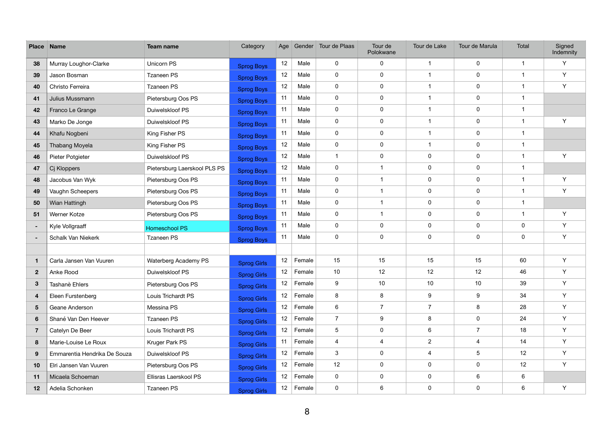| <b>Place</b>    | <b>Name</b>                  | <b>Team name</b>             | Category           | Age |             | Gender Tour de Plaas    | Tour de<br>Polokwane    | Tour de Lake     | Tour de Marula          | Total          | Signed<br>Indemnity |
|-----------------|------------------------------|------------------------------|--------------------|-----|-------------|-------------------------|-------------------------|------------------|-------------------------|----------------|---------------------|
| 38              | Murray Loughor-Clarke        | Unicorn PS                   | <b>Sprog Boys</b>  | 12  | Male        | 0                       | 0                       | -1               | $\mathbf 0$             | $\mathbf{1}$   | Y                   |
| 39              | Jason Bosman                 | Tzaneen PS                   | <b>Sprog Boys</b>  | 12  | Male        | 0                       | 0                       | $\overline{1}$   | $\pmb{0}$               | $\mathbf{1}$   | Y                   |
| 40              | Christo Ferreira             | Tzaneen PS                   | <b>Sprog Boys</b>  | 12  | Male        | $\mathbf 0$             | $\mathbf 0$             | -1               | $\pmb{0}$               | $\overline{1}$ | Y                   |
| 41              | Julius Mussmann              | Pietersburg Oos PS           | <b>Sprog Boys</b>  | 11  | Male        | 0                       | 0                       | -1               | $\pmb{0}$               | $\mathbf{1}$   |                     |
| 42              | Franco Le Grange             | Duiwelskloof PS              | <b>Sprog Boys</b>  | 11  | Male        | 0                       | 0                       | $\overline{1}$   | $\pmb{0}$               | $\mathbf{1}$   |                     |
| 43              | Marko De Jonge               | Duiwelskloof PS              | <b>Sprog Boys</b>  | 11  | Male        | $\mathbf 0$             | $\mathbf 0$             | -1               | $\pmb{0}$               | $\overline{1}$ | Y                   |
| 44              | Khafu Nogbeni                | King Fisher PS               | <b>Sprog Boys</b>  | 11  | Male        | $\mathbf 0$             | 0                       | -1               | $\pmb{0}$               | $\overline{1}$ |                     |
| 45              | Thabang Moyela               | King Fisher PS               | <b>Sprog Boys</b>  | 12  | Male        | $\mathbf 0$             | 0                       | -1               | $\pmb{0}$               | $\mathbf 1$    |                     |
| 46              | Pieter Potgieter             | Duiwelskloof PS              | <b>Sprog Boys</b>  | 12  | Male        | $\overline{1}$          | 0                       | $\mathbf 0$      | $\pmb{0}$               | $\overline{1}$ | Y                   |
| 47              | Cj Kloppers                  | Pietersburg Laerskool PLS PS | <b>Sprog Boys</b>  | 12  | Male        | $\mathbf 0$             | $\overline{1}$          | $\mathbf 0$      | $\pmb{0}$               | $\overline{1}$ |                     |
| 48              | Jacobus Van Wyk              | Pietersburg Oos PS           | <b>Sprog Boys</b>  | 11  | Male        | $\mathbf 0$             | $\overline{1}$          | $\pmb{0}$        | $\pmb{0}$               | $\mathbf 1$    | Y                   |
| 49              | Vaughn Scheepers             | Pietersburg Oos PS           | <b>Sprog Boys</b>  | 11  | Male        | 0                       | $\overline{1}$          | $\mathbf 0$      | $\pmb{0}$               | $\overline{1}$ | Y                   |
| 50              | Wian Hattingh                | Pietersburg Oos PS           | <b>Sprog Boys</b>  | 11  | Male        | 0                       | $\overline{1}$          | $\mathbf 0$      | $\pmb{0}$               | $\overline{1}$ |                     |
| 51              | Werner Kotze                 | Pietersburg Oos PS           | <b>Sprog Boys</b>  | 11  | Male        | 0                       | $\overline{1}$          | $\pmb{0}$        | $\pmb{0}$               | $\mathbf 1$    | Y                   |
| $\sim$          | Kyle Vollgraaff              | <b>Homeschool PS</b>         | <b>Sprog Boys</b>  | 11  | Male        | 0                       | 0                       | $\pmb{0}$        | $\pmb{0}$               | $\pmb{0}$      | Y                   |
| ٠               | Schalk Van Niekerk           | <b>Tzaneen PS</b>            | <b>Sprog Boys</b>  | 11  | Male        | 0                       | 0                       | $\mathbf 0$      | $\pmb{0}$               | $\pmb{0}$      | Y                   |
|                 |                              |                              |                    |     |             |                         |                         |                  |                         |                |                     |
| $\mathbf{1}$    | Carla Jansen Van Vuuren      | Waterberg Academy PS         | <b>Sprog Girls</b> | 12  | Female      | 15                      | 15                      | 15               | 15                      | 60             | Y                   |
| $2\overline{ }$ | Anke Rood                    | Duiwelskloof PS              | <b>Sprog Girls</b> | 12  | Female      | 10 <sup>1</sup>         | 12                      | 12               | 12                      | 46             | Y                   |
| $3\phantom{a}$  | Tashanè Ehlers               | Pietersburg Oos PS           | <b>Sprog Girls</b> | 12  | Female      | 9                       | 10                      | 10               | 10                      | 39             | Y                   |
| 4               | Eleen Furstenberg            | Louis Trichardt PS           | Sprog Girls        | 12  | Female      | 8                       | 8                       | $\boldsymbol{9}$ | $\boldsymbol{9}$        | 34             | Y                   |
| $5\phantom{.0}$ | Geane Anderson               | Messina PS                   | <b>Sprog Girls</b> | 12  | Female      | 6                       | $\overline{7}$          | $\overline{7}$   | 8                       | 28             | Y                   |
| $6\phantom{1}$  | Shané Van Den Heever         | Tzaneen PS                   | <b>Sprog Girls</b> | 12  | Female      | $\overline{7}$          | 9                       | 8                | 0                       | 24             | Y                   |
| $\overline{7}$  | Catelyn De Beer              | Louis Trichardt PS           | <b>Sprog Girls</b> | 12  | Female      | 5                       | 0                       | $\,6$            | $\overline{7}$          | 18             | Y                   |
| 8               | Marie-Louise Le Roux         | Kruger Park PS               | <b>Sprog Girls</b> | 11  | Female      | $\overline{\mathbf{4}}$ | $\overline{\mathbf{4}}$ | $\overline{2}$   | $\overline{\mathbf{4}}$ | 14             | Y                   |
| 9               | Emmarentia Hendrika De Souza | Duiwelskloof PS              | <b>Sprog Girls</b> | 12  | Female      | 3                       | $\mathbf 0$             | $\overline{4}$   | 5                       | 12             | Y                   |
| 10              | Elri Jansen Van Vuuren       | Pietersburg Oos PS           | <b>Sprog Girls</b> | 12  | Female      | 12                      | $\mathbf 0$             | $\pmb{0}$        | $\boldsymbol{0}$        | 12             | Y                   |
| 11              | Micaela Schoeman             | Ellisras Laerskool PS        | <b>Sprog Girls</b> | 12  | Female      | $\mathbf 0$             | 0                       | $\pmb{0}$        | $\,6$                   | 6              |                     |
| 12              | Adelia Schonken              | Tzaneen PS                   | <b>Sprog Girls</b> |     | 12   Female | $\mathbf 0$             | 6                       | $\pmb{0}$        | $\mathbf 0$             | 6              | Y                   |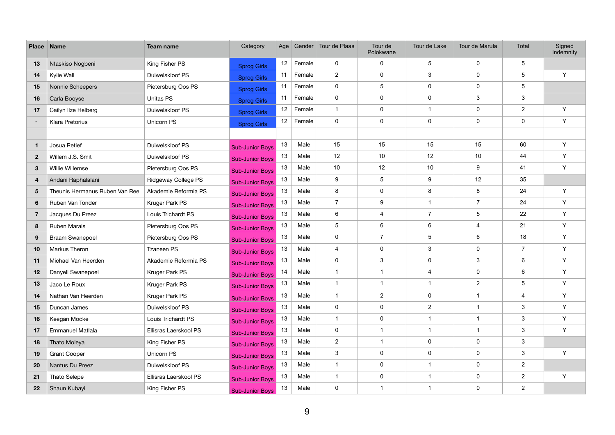| <b>Place</b>    | <b>Name</b>                    | Team name             | Category               | Age             |        | Gender Tour de Plaas | Tour de<br>Polokwane | Tour de Lake            | Tour de Marula   | Total           | Signed<br>Indemnity |
|-----------------|--------------------------------|-----------------------|------------------------|-----------------|--------|----------------------|----------------------|-------------------------|------------------|-----------------|---------------------|
| 13              | Ntaskiso Nogbeni               | King Fisher PS        | <b>Sprog Girls</b>     | 12              | Female | $\mathbf 0$          | $\mathbf 0$          | $5\phantom{.0}$         | $\mathbf 0$      | $5\phantom{.0}$ |                     |
| 14              | Kylie Wall                     | Duiwelskloof PS       | <b>Sprog Girls</b>     | 11              | Female | $\overline{2}$       | $\pmb{0}$            | $\mathbf{3}$            | $\boldsymbol{0}$ | 5               | Y                   |
| 15              | Nonnie Scheepers               | Pietersburg Oos PS    | <b>Sprog Girls</b>     | 11              | Female | $\mathbf 0$          | 5                    | $\mathbf 0$             | $\boldsymbol{0}$ | $5\phantom{.0}$ |                     |
| 16              | Carla Booyse                   | Unitas PS             | <b>Sprog Girls</b>     | 11              | Female | $\mathbf 0$          | $\mathbf 0$          | $\mathbf 0$             | 3                | 3               |                     |
| 17              | Cailyn IIze Helberg            | Duiwelskloof PS       | <b>Sprog Girls</b>     | 12              | Female | $\mathbf{1}$         | $\pmb{0}$            |                         | $\mathbf 0$      | $\overline{2}$  | Y                   |
| $\sim$          | Klara Pretorius                | Unicorn PS            | <b>Sprog Girls</b>     | 12 <sup>°</sup> | Female | $\mathbf 0$          | $\pmb{0}$            | $\mathbf 0$             | $\mathbf 0$      | $\mathbf 0$     | Y                   |
|                 |                                |                       |                        |                 |        |                      |                      |                         |                  |                 |                     |
| $\mathbf{1}$    | Josua Retief                   | Duiwelskloof PS       | <b>Sub-Junior Boys</b> | 13              | Male   | 15                   | 15                   | 15                      | 15               | 60              | Y                   |
| $\overline{2}$  | Willem J.S. Smit               | Duiwelskloof PS       | <b>Sub-Junior Boys</b> | 13              | Male   | 12                   | 10                   | 12                      | 10               | 44              | Y                   |
| $\mathbf{3}$    | Willie Willemse                | Pietersburg Oos PS    | <b>Sub-Junior Boys</b> | 13              | Male   | 10                   | 12                   | 10                      | 9                | 41              | Y                   |
| 4               | Andani Raphalalani             | Ridgeway College PS   | <b>Sub-Junior Boys</b> | 13              | Male   | 9                    | 5                    | $\boldsymbol{9}$        | 12               | 35              |                     |
| $5\phantom{.0}$ | Theunis Hermanus Ruben Van Ree | Akademie Reformia PS  | <b>Sub-Junior Boys</b> | 13              | Male   | 8                    | $\pmb{0}$            | 8                       | 8                | 24              | Y                   |
| 6               | Ruben Van Tonder               | Kruger Park PS        | <b>Sub-Junior Boys</b> | 13              | Male   | $\overline{7}$       | 9                    |                         | $\overline{7}$   | 24              | Y                   |
| $\overline{7}$  | Jacques Du Preez               | Louis Trichardt PS    | <b>Sub-Junior Boys</b> | 13              | Male   | 6                    | 4                    | $\overline{7}$          | $\sqrt{5}$       | 22              | Y                   |
| 8               | <b>Ruben Marais</b>            | Pietersburg Oos PS    | <b>Sub-Junior Boys</b> | 13              | Male   | 5                    | $\,6\,$              | 6                       | $\overline{4}$   | 21              | Y                   |
| 9               | <b>Braam Swanepoel</b>         | Pietersburg Oos PS    | <b>Sub-Junior Boys</b> | 13              | Male   | $\mathbf 0$          | $\overline{7}$       | 5                       | $6\phantom{1}$   | 18              | Y                   |
| 10              | Markus Theron                  | <b>Tzaneen PS</b>     | <b>Sub-Junior Boys</b> | 13              | Male   | 4                    | $\mathbf 0$          | 3                       | $\mathbf 0$      | $\overline{7}$  | Y                   |
| 11              | Michael Van Heerden            | Akademie Reformia PS  | <b>Sub-Junior Boys</b> | 13              | Male   | $\pmb{0}$            | 3                    | $\mathbf 0$             | $\sqrt{3}$       | 6               | Y                   |
| 12              | Danyell Swanepoel              | Kruger Park PS        | <b>Sub-Junior Boys</b> | 14              | Male   | $\mathbf{1}$         | $\mathbf 1$          | $\overline{4}$          | $\boldsymbol{0}$ | 6               | Y                   |
| 13              | Jaco Le Roux                   | Kruger Park PS        | <b>Sub-Junior Boys</b> | 13              | Male   | $\mathbf{1}$         | 1                    |                         | $\overline{2}$   | $5\phantom{.0}$ | Y                   |
| 14              | Nathan Van Heerden             | Kruger Park PS        | <b>Sub-Junior Boys</b> | 13              | Male   | $\mathbf{1}$         | $\overline{2}$       | $\mathbf 0$             | $\mathbf{1}$     | 4               | Y                   |
| 15              | Duncan James                   | Duiwelskloof PS       | <b>Sub-Junior Boys</b> | 13              | Male   | $\mathbf 0$          | $\mathbf 0$          | $\overline{2}$          | $\overline{1}$   | $\mathbf{3}$    | Y                   |
| 16              | Keegan Mocke                   | Louis Trichardt PS    | <b>Sub-Junior Boys</b> | 13              | Male   | 1                    | $\mathbf 0$          |                         | $\mathbf{1}$     | $\mathfrak{S}$  | Y                   |
| 17              | <b>Emmanuel Matlala</b>        | Ellisras Laerskool PS | <b>Sub-Junior Boys</b> | 13              | Male   | $\mathbf 0$          | $\mathbf{1}$         | $\overline{\mathbf{1}}$ | $\mathbf{1}$     | $\mathbf{3}$    | Y                   |
| 18              | Thato Moleya                   | King Fisher PS        | <b>Sub-Junior Boys</b> | 13              | Male   | $\overline{2}$       | $\mathbf{1}$         | $\mathbf 0$             | $\boldsymbol{0}$ | 3               |                     |
| 19              | <b>Grant Cooper</b>            | Unicorn PS            | <b>Sub-Junior Boys</b> | 13              | Male   | 3                    | $\mathbf 0$          | $\mathbf 0$             | $\boldsymbol{0}$ | 3               | Y                   |
| 20              | Nantus Du Preez                | Duiwelskloof PS       | <b>Sub-Junior Boys</b> | 13              | Male   | $\mathbf{1}$         | $\mathbf 0$          |                         | $\pmb{0}$        | $\overline{2}$  |                     |
| 21              | <b>Thato Selepe</b>            | Ellisras Laerskool PS | <b>Sub-Junior Boys</b> | 13              | Male   | $\mathbf{1}$         | $\mathbf 0$          | $\overline{\mathbf{1}}$ | $\pmb{0}$        | $\overline{2}$  | Y                   |
| 22              | Shaun Kubayi                   | King Fisher PS        | <b>Sub-Junior Boys</b> | 13              | Male   | $\overline{0}$       | $\mathbf{1}$         | $\overline{1}$          | $\mathbf 0$      | $\overline{2}$  |                     |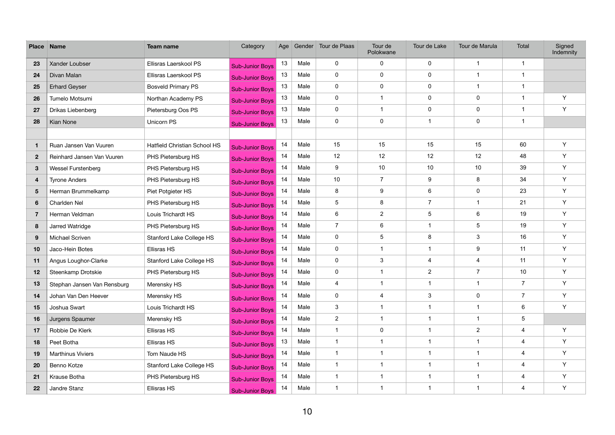| <b>Place</b>    | <b>Name</b>                 | <b>Team name</b>                | Category               | Age |      | Gender Tour de Plaas    | Tour de<br>Polokwane    | Tour de Lake            | Tour de Marula            | Total          | Signed<br>Indemnity |
|-----------------|-----------------------------|---------------------------------|------------------------|-----|------|-------------------------|-------------------------|-------------------------|---------------------------|----------------|---------------------|
| 23              | Xander Loubser              | Ellisras Laerskool PS           | <b>Sub-Junior Boys</b> | 13  | Male | 0                       | 0                       | $\mathbf 0$             | $\mathbf 1$               | $\mathbf{1}$   |                     |
| 24              | Divan Malan                 | Ellisras Laerskool PS           | <b>Sub-Junior Boys</b> | 13  | Male | 0                       | 0                       | $\pmb{0}$               | $\mathbf 1$               | $\mathbf{1}$   |                     |
| 25              | <b>Erhard Geyser</b>        | <b>Bosveld Primary PS</b>       | <b>Sub-Junior Boys</b> | 13  | Male | $\mathbf 0$             | $\mathbf 0$             | $\mathbf 0$             | $\mathbf 1$               | $\overline{1}$ |                     |
| 26              | Tumelo Motsumi              | Northan Academy PS              | <b>Sub-Junior Boys</b> | 13  | Male | 0                       | $\overline{1}$          | $\mathbf 0$             | $\pmb{0}$                 | $\mathbf{1}$   | Y                   |
| 27              | Drikas Liebenberg           | Pietersburg Oos PS              | <b>Sub-Junior Boys</b> | 13  | Male | 0                       | $\overline{1}$          | $\pmb{0}$               | $\pmb{0}$                 | $\mathbf{1}$   | Y                   |
| 28              | Kian None                   | Unicorn PS                      | <b>Sub-Junior Boys</b> | 13  | Male | $\mathbf 0$             | $\mathbf 0$             | -1                      | $\pmb{0}$                 | $\overline{1}$ |                     |
|                 |                             |                                 |                        |     |      |                         |                         |                         |                           |                |                     |
| 1               | Ruan Jansen Van Vuuren      | Hatfield Christian School HS    | <b>Sub-Junior Boys</b> | 14  | Male | 15                      | 15                      | 15                      | 15                        | 60             | Y                   |
| $\mathbf{2}$    | Reinhard Jansen Van Vuuren  | PHS Pietersburg HS              | <b>Sub-Junior Boys</b> | 14  | Male | 12                      | 12                      | 12                      | 12                        | 48             | Y                   |
| $3\phantom{.0}$ | <b>Wessel Furstenberg</b>   | PHS Pietersburg HS              | <b>Sub-Junior Boys</b> | 14  | Male | 9                       | 10 <sup>°</sup>         | 10                      | 10                        | 39             | Y                   |
| 4               | <b>Tyrone Anders</b>        | PHS Pietersburg HS              | <b>Sub-Junior Boys</b> | 14  | Male | 10 <sup>1</sup>         | $\overline{7}$          | $\boldsymbol{9}$        | 8                         | 34             | Y                   |
| $5\phantom{.0}$ | Herman Brummelkamp          | Piet Potgieter HS               | <b>Sub-Junior Boys</b> | 14  | Male | 8                       | 9                       | $6\phantom{1}$          | $\pmb{0}$                 | 23             | Y                   |
| $6\phantom{1}$  | Charlden Nel                | PHS Pietersburg HS              | <b>Sub-Junior Boys</b> | 14  | Male | 5                       | 8                       | $\overline{7}$          | $\mathbf{1}$              | 21             | Y                   |
| $\overline{7}$  | Herman Veldman              | Louis Trichardt HS              | <b>Sub-Junior Boys</b> | 14  | Male | 6                       | $\overline{c}$          | 5                       | 6                         | 19             | Y                   |
| 8               | Jarred Watridge             | PHS Pietersburg HS              | <b>Sub-Junior Boys</b> | 14  | Male | $\overline{7}$          | 6                       | -1                      | $\sqrt{5}$                | 19             | Y                   |
| 9               | Michael Scriven             | Stanford Lake College HS        | <b>Sub-Junior Boys</b> | 14  | Male | 0                       | 5                       | 8                       | $\ensuremath{\mathsf{3}}$ | 16             | Y                   |
| 10              | Jaco-Hein Botes             | Ellisras HS                     | <b>Sub-Junior Boys</b> | 14  | Male | 0                       | $\overline{\mathbf{1}}$ | -1                      | 9                         | 11             | Y                   |
| 11              | Angus Loughor-Clarke        | Stanford Lake College HS        | <b>Sub-Junior Boys</b> | 14  | Male | 0                       | 3                       | $\overline{\mathbf{4}}$ | $\overline{\mathbf{4}}$   | 11             | Y                   |
| 12              | Steenkamp Drotskie          | PHS Pietersburg HS              | <b>Sub-Junior Boys</b> | 14  | Male | 0                       | $\overline{1}$          | $\overline{2}$          | $\overline{7}$            | 10             | Y                   |
| 13              | Stephan Jansen Van Rensburg | Merensky HS                     | <b>Sub-Junior Boys</b> | 14  | Male | 4                       | $\overline{1}$          | -1                      | $\mathbf 1$               | $\overline{7}$ | Y                   |
| 14              | Johan Van Den Heever        | Merensky HS                     | <b>Sub-Junior Boys</b> | 14  | Male | 0                       | 4                       | $\mathbf{3}$            | $\pmb{0}$                 | $\overline{7}$ | Y                   |
| 15              | Joshua Swart                | Louis Trichardt HS              | <b>Sub-Junior Boys</b> | 14  | Male | 3                       | $\overline{\mathbf{1}}$ | $\overline{\mathbf{1}}$ | $\mathbf{1}$              | 6              | Y                   |
| 16              | Jurgens Spaumer             | Merensky HS                     | <b>Sub-Junior Boys</b> | 14  | Male | $\overline{2}$          |                         |                         | $\mathbf{1}$              | 5              |                     |
| 17              | Robbie De Klerk             | Ellisras HS                     | <b>Sub-Junior Boys</b> | 14  | Male | $\mathbf{1}$            | 0                       | -1                      | $\overline{2}$            | $\overline{4}$ | Y                   |
| 18              | Peet Botha                  | Ellisras HS                     | <b>Sub-Junior Boys</b> | 13  | Male | $\mathbf{1}$            | $\overline{1}$          | $\overline{1}$          | $\mathbf 1$               | $\overline{4}$ | Y                   |
| 19              | <b>Marthinus Viviers</b>    | Tom Naude HS                    | <b>Sub-Junior Boys</b> | 14  | Male | $\overline{\mathbf{1}}$ |                         | -1                      | $\mathbf{1}$              | 4              | Y                   |
| 20              | Benno Kotze                 | <b>Stanford Lake College HS</b> | <b>Sub-Junior Boys</b> | 14  | Male | $\overline{1}$          | $\overline{1}$          | $\overline{\mathbf{1}}$ | $\mathbf{1}$              | $\overline{4}$ | Y                   |
| 21              | Krause Botha                | PHS Pietersburg HS              | <b>Sub-Junior Boys</b> | 14  | Male | $\mathbf{1}$            | $\overline{1}$          | $\overline{1}$          | $\mathbf 1$               | $\overline{4}$ | Y                   |
| 22              | Jandre Stanz                | Ellisras HS                     | <b>Sub-Junior Boys</b> | 14  | Male | $\mathbf{1}$            | $\overline{1}$          | $\overline{\mathbf{1}}$ | $\mathbf{1}$              | $\overline{4}$ | Y                   |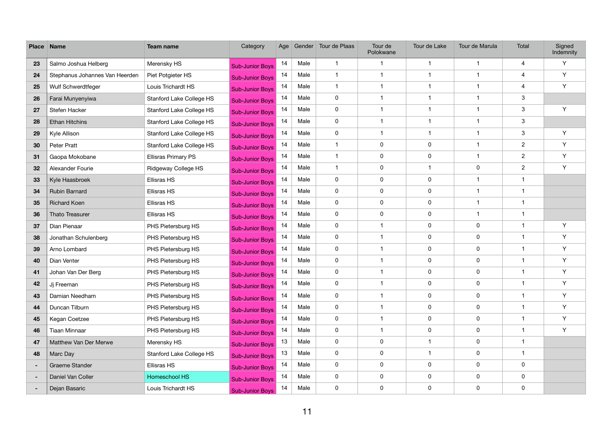| <b>Place</b> | Name                           | Team name                       | Category               | Age |      | Gender Tour de Plaas    | Tour de<br>Polokwane    | Tour de Lake            | Tour de Marula | Total          | Signed<br>Indemnity |
|--------------|--------------------------------|---------------------------------|------------------------|-----|------|-------------------------|-------------------------|-------------------------|----------------|----------------|---------------------|
| 23           | Salmo Joshua Helberg           | Merensky HS                     | <b>Sub-Junior Boys</b> | 14  | Male | $\overline{\mathbf{1}}$ | $\overline{1}$          | $\overline{1}$          | $\mathbf 1$    | 4              | Y                   |
| 24           | Stephanus Johannes Van Heerden | Piet Potgieter HS               | <b>Sub-Junior Boys</b> | 14  | Male | $\overline{1}$          | -1                      | $\overline{1}$          | -1             | 4              | Y                   |
| 25           | Wulf Schwerdtfeger             | Louis Trichardt HS              | <b>Sub-Junior Boys</b> | 14  | Male | $\overline{1}$          | 1                       | $\overline{\mathbf{1}}$ |                | 4              | Y                   |
| 26           | Farai Munyenyiwa               | Stanford Lake College HS        | <b>Sub-Junior Boys</b> | 14  | Male | $\mathbf 0$             | $\overline{1}$          | $\overline{1}$          | $\mathbf 1$    | 3              |                     |
| 27           | Stefen Hacker                  | Stanford Lake College HS        | <b>Sub-Junior Boys</b> | 14  | Male | $\mathbf 0$             | $\overline{\mathbf{1}}$ | $\overline{1}$          | $\mathbf 1$    | $\mathbf{3}$   | Y                   |
| 28           | <b>Ethan Hitchins</b>          | <b>Stanford Lake College HS</b> | <b>Sub-Junior Boys</b> | 14  | Male | $\mathbf 0$             | 1                       | $\overline{\mathbf{1}}$ | $\mathbf 1$    | $\mathbf{3}$   |                     |
| 29           | Kyle Allison                   | Stanford Lake College HS        | <b>Sub-Junior Boys</b> | 14  | Male | $\mathbf 0$             | $\overline{1}$          | -1                      | $\mathbf 1$    | $\mathbf{3}$   | Y                   |
| 30           | Peter Pratt                    | Stanford Lake College HS        | <b>Sub-Junior Boys</b> | 14  | Male | $\overline{1}$          | 0                       | $\mathbf 0$             | -1             | $\overline{2}$ | Y                   |
| 31           | Gaopa Mokobane                 | <b>Ellisras Primary PS</b>      | <b>Sub-Junior Boys</b> | 14  | Male | $\overline{1}$          | $\pmb{0}$               | $\mathbf 0$             | $\mathbf 1$    | $\overline{2}$ | Y                   |
| 32           | Alexander Fourie               | Ridgeway College HS             | <b>Sub-Junior Boys</b> | 14  | Male | $\overline{1}$          | $\mathbf 0$             | -1                      | 0              | $\overline{2}$ | Y                   |
| 33           | Kyle Haasbroek                 | <b>Ellisras HS</b>              | <b>Sub-Junior Boys</b> | 14  | Male | $\mathbf 0$             | $\mathbf 0$             | $\mathbf 0$             | $\mathbf 1$    | $\overline{1}$ |                     |
| 34           | <b>Rubin Barnard</b>           | Ellisras HS                     | <b>Sub-Junior Boys</b> | 14  | Male | $\mathbf 0$             | $\pmb{0}$               | $\mathbf 0$             | $\mathbf 1$    | $\mathbf{1}$   |                     |
| 35           | <b>Richard Koen</b>            | <b>Ellisras HS</b>              | <b>Sub-Junior Boys</b> | 14  | Male | $\mathbf 0$             | $\mathbf 0$             | $\mathbf 0$             | $\mathbf 1$    | $\mathbf{1}$   |                     |
| 36           | Thato Treasurer                | <b>Ellisras HS</b>              | <b>Sub-Junior Boys</b> | 14  | Male | $\mathbf 0$             | $\mathbf 0$             | $\mathbf 0$             | $\mathbf 1$    | $\overline{1}$ |                     |
| 37           | Dian Pienaar                   | PHS Pietersburg HS              | <b>Sub-Junior Boys</b> | 14  | Male | $\mathbf 0$             | 1                       | $\pmb{0}$               | 0              | $\mathbf{1}$   | Y                   |
| 38           | Jonathan Schulenberg           | PHS Pietersburg HS              | <b>Sub-Junior Boys</b> | 14  | Male | $\mathbf 0$             | $\overline{1}$          | $\pmb{0}$               | 0              | $\mathbf 1$    | Y                   |
| 39           | Arno Lombard                   | PHS Pietersburg HS              | <b>Sub-Junior Boys</b> | 14  | Male | $\mathbf 0$             | $\overline{\mathbf{1}}$ | $\mathbf 0$             | 0              | $\overline{1}$ | Y                   |
| 40           | Dian Venter                    | PHS Pietersburg HS              | <b>Sub-Junior Boys</b> | 14  | Male | $\mathbf 0$             | -1                      | $\pmb{0}$               | 0              | $\mathbf{1}$   | Y                   |
| 41           | Johan Van Der Berg             | PHS Pietersburg HS              | <b>Sub-Junior Boys</b> | 14  | Male | $\mathbf 0$             | $\overline{\mathbf{1}}$ | $\mathbf 0$             | 0              | $\mathbf 1$    | Y                   |
| 42           | Jj Freeman                     | PHS Pietersburg HS              | <b>Sub-Junior Boys</b> | 14  | Male | $\mathbf 0$             | $\overline{\mathbf{1}}$ | $\mathbf 0$             | 0              | $\overline{1}$ | Y                   |
| 43           | Damian Needham                 | PHS Pietersburg HS              | <b>Sub-Junior Boys</b> | 14  | Male | $\mathbf 0$             | $\overline{1}$          | 0                       | 0              | $\mathbf 1$    | Y                   |
| 44           | Duncan Tilburn                 | PHS Pietersburg HS              | <b>Sub-Junior Boys</b> | 14  | Male | $\mathbf 0$             | $\overline{\mathbf{1}}$ | $\pmb{0}$               | 0              | $\mathbf{1}$   | Y                   |
| 45           | Kegan Coetzee                  | PHS Pietersburg HS              | <b>Sub-Junior Boys</b> | 14  | Male | $\mathbf 0$             |                         | $\mathbf 0$             | 0              | $\mathbf{1}$   | Y                   |
| 46           | Tiaan Minnaar                  | PHS Pietersburg HS              | <b>Sub-Junior Boys</b> | 14  | Male | $\mathbf 0$             | $\overline{1}$          | $\pmb{0}$               | 0              | $\mathbf{1}$   | Y                   |
| 47           | Matthew Van Der Merwe          | Merensky HS                     | <b>Sub-Junior Boys</b> | 13  | Male | $\mathbf 0$             | $\mathbf 0$             | $\overline{1}$          | 0              | $\mathbf{1}$   |                     |
| 48           | Marc Day                       | <b>Stanford Lake College HS</b> | <b>Sub-Junior Boys</b> | 13  | Male | $\mathbf 0$             | $\mathbf 0$             | $\overline{\mathbf{1}}$ | 0              | $\mathbf{1}$   |                     |
| $\sim$       | Graeme Stander                 | Ellisras HS                     | <b>Sub-Junior Boys</b> | 14  | Male | $\mathbf 0$             | $\pmb{0}$               | $\mathbf 0$             | 0              | $\pmb{0}$      |                     |
| $\sim$       | Daniel Van Coller              | Homeschool HS                   | <b>Sub-Junior Boys</b> | 14  | Male | $\mathbf 0$             | $\mathbf 0$             | $\pmb{0}$               | 0              | 0              |                     |
|              | Dejan Basaric                  | Louis Trichardt HS              | <b>Sub-Junior Boys</b> | 14  | Male | $\mathbf 0$             | $\mathbf 0$             | $\pmb{0}$               | $\mathbf 0$    | $\mathbf 0$    |                     |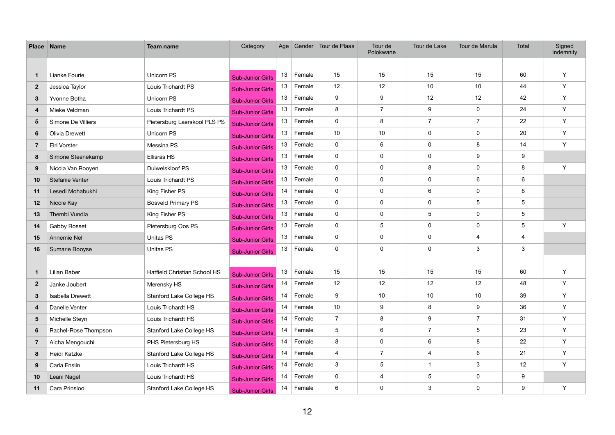| <b>Place Name</b> |                         | Team name                       | Category                | Age |        | Gender   Tour de Plaas | Tour de<br>Polokwane    | Tour de Lake     | Tour de Marula   | <b>Total</b>    | Signed<br>Indemnity |
|-------------------|-------------------------|---------------------------------|-------------------------|-----|--------|------------------------|-------------------------|------------------|------------------|-----------------|---------------------|
|                   |                         |                                 |                         |     |        |                        |                         |                  |                  |                 |                     |
| $\mathbf 1$       | Lianke Fourie           | Unicorn PS                      | <b>Sub-Junior Girls</b> | 13  | Female | 15                     | 15                      | 15               | 15               | 60              | Y                   |
| $\mathbf{2}$      | Jessica Taylor          | Louis Trichardt PS              | <b>Sub-Junior Girls</b> | 13  | Female | 12                     | 12                      | 10               | 10               | 44              | Y                   |
| $3\phantom{a}$    | Yvonne Botha            | Unicorn PS                      | <b>Sub-Junior Girls</b> | 13  | Female | 9                      | $\boldsymbol{9}$        | 12               | 12               | 42              | Y                   |
| 4                 | Mieke Veldman           | Louis Trichardt PS              | <b>Sub-Junior Girls</b> | 13  | Female | 8                      | $\overline{7}$          | 9                | $\pmb{0}$        | 24              | Y                   |
| $5\overline{)}$   | Simone De Villiers      | Pietersburg Laerskool PLS PS    | <b>Sub-Junior Girls</b> | 13  | Female | $\mathbf 0$            | 8                       | $\overline{7}$   | $\overline{7}$   | 22              | Y                   |
| 6                 | <b>Olivia Drewett</b>   | Unicorn PS                      | <b>Sub-Junior Girls</b> | 13  | Female | 10 <sup>°</sup>        | 10                      | $\boldsymbol{0}$ | $\pmb{0}$        | 20              | Y                   |
| $\mathbf{7}$      | Elri Vorster            | Messina PS                      | <b>Sub-Junior Girls</b> | 13  | Female | $\mathbf 0$            | 6                       | $\mathbf 0$      | 8                | 14              | Y                   |
| 8                 | Simone Steenekamp       | Ellisras HS                     | <b>Sub-Junior Girls</b> | 13  | Female | $\mathbf 0$            | $\mathbf 0$             | $\boldsymbol{0}$ | $\boldsymbol{9}$ | 9               |                     |
| 9                 | Nicola Van Rooyen       | Duiwelskloof PS                 | <b>Sub-Junior Girls</b> | 13  | Female | $\mathbf 0$            | $\mathbf 0$             | 8                | $\pmb{0}$        | $\bf 8$         | Y                   |
| 10                | Stefanie Venter         | Louis Trichardt PS              | <b>Sub-Junior Girls</b> | 13  | Female | $\mathbf 0$            | $\mathbf 0$             | $\boldsymbol{0}$ | 6                | $\,6\,$         |                     |
| 11                | Lesedi Mohabukhi        | King Fisher PS                  | <b>Sub-Junior Girls</b> | 14  | Female | $\mathbf 0$            | $\mathbf 0$             | $6\phantom{1}6$  | $\pmb{0}$        | 6               |                     |
| 12                | Nicole Kay              | <b>Bosveld Primary PS</b>       | <b>Sub-Junior Girls</b> | 13  | Female | $\mathbf 0$            | $\mathbf 0$             | $\mathbf 0$      | 5                | $\overline{5}$  |                     |
| 13                | Thembi Vundla           | King Fisher PS                  | <b>Sub-Junior Girls</b> | 13  | Female | $\mathbf 0$            | $\mathbf 0$             | 5                | $\pmb{0}$        | $\mathbf 5$     |                     |
| 14                | <b>Gabby Rosset</b>     | Pietersburg Oos PS              | <b>Sub-Junior Girls</b> | 13  | Female | $\mathbf 0$            | 5                       | $\boldsymbol{0}$ | $\pmb{0}$        | $5\phantom{.0}$ | Y                   |
| 15                | Annemie Nel             | Unitas PS                       | <b>Sub-Junior Girls</b> | 13  | Female | $\mathbf 0$            | $\mathbf 0$             | $\boldsymbol{0}$ | 4                | 4               |                     |
| 16                | Sumarie Booyse          | Unitas PS                       | <b>Sub-Junior Girls</b> | 13  | Female | $\mathbf 0$            | $\mathbf 0$             | $\mathbf 0$      | $\mathfrak{B}$   | 3               |                     |
|                   |                         |                                 |                         |     |        |                        |                         |                  |                  |                 |                     |
| $\mathbf 1$       | Lilian Baber            | Hatfield Christian School HS    | <b>Sub-Junior Girls</b> | 13  | Female | 15                     | 15                      | 15               | 15               | 60              | Y                   |
| $\mathbf{2}$      | Janke Joubert           | Merensky HS                     | <b>Sub-Junior Girls</b> | 14  | Female | 12                     | 12                      | 12               | 12               | 48              | Y                   |
| 3                 | <b>Isabella Drewett</b> | Stanford Lake College HS        | <b>Sub-Junior Girls</b> | 14  | Female | 9                      | 10                      | 10               | 10               | 39              | Y                   |
| 4                 | Danelle Venter          | Louis Trichardt HS              | <b>Sub-Junior Girls</b> | 14  | Female | 10                     | 9                       | 8                | 9                | 36              | Y                   |
| $5\phantom{.0}$   | Michelle Steyn          | Louis Trichardt HS              | <b>Sub-Junior Girls</b> | 14  | Female | $\overline{7}$         | 8                       | 9                | $\overline{7}$   | 31              | Y                   |
| 6                 | Rachel-Rose Thompson    | Stanford Lake College HS        | <b>Sub-Junior Girls</b> | 14  | Female | 5                      | 6                       | $\overline{7}$   | $\sqrt{5}$       | 23              | Y                   |
| $\overline{7}$    | Aicha Mengouchi         | PHS Pietersburg HS              | <b>Sub-Junior Girls</b> | 14  | Female | 8                      | $\pmb{0}$               | $\,6$            | 8                | 22              | Y                   |
| 8                 | Heidi Katzke            | Stanford Lake College HS        | <b>Sub-Junior Girls</b> | 14  | Female | 4                      | $\overline{7}$          | $\overline{4}$   | $\,6$            | 21              | Y                   |
| 9                 | Carla Enslin            | Louis Trichardt HS              | <b>Sub-Junior Girls</b> | 14  | Female | $\mathbf{3}$           | 5                       | $\mathbf{1}$     | $\mathfrak{S}$   | 12              | Y                   |
| 10                | Leani Nagel             | Louis Trichardt HS              | <b>Sub-Junior Girls</b> | 14  | Female | $\mathbf 0$            | $\overline{\mathbf{4}}$ | 5                | $\pmb{0}$        | 9               |                     |
| 11                | Cara Prinsloo           | <b>Stanford Lake College HS</b> | <b>Sub-Junior Girls</b> | 14  | Female | 6                      | $\pmb{0}$               | $\sqrt{3}$       | $\pmb{0}$        | 9               | Y                   |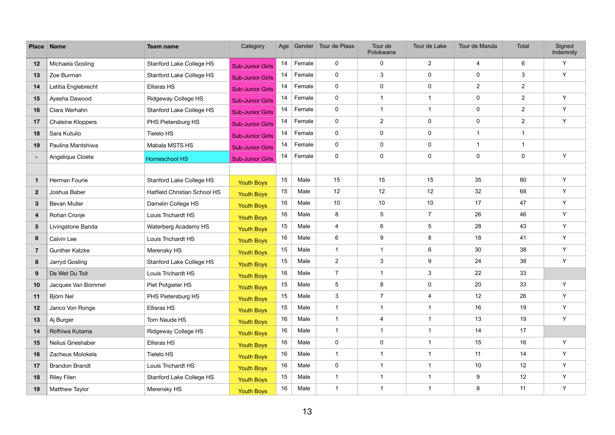| <b>Place</b>            | <b>Name</b>           | Team name                           | Category                | Age |        | Gender Tour de Plaas    | Tour de<br>Polokwane    | Tour de Lake            | Tour de Marula          | Total          | Signed<br>Indemnity |
|-------------------------|-----------------------|-------------------------------------|-------------------------|-----|--------|-------------------------|-------------------------|-------------------------|-------------------------|----------------|---------------------|
| 12                      | Michaela Gosling      | Stanford Lake College HS            | <b>Sub-Junior Girls</b> | 14  | Female | 0                       | $\mathbf 0$             | $\overline{2}$          | $\overline{\mathbf{4}}$ | 6              | Y                   |
| 13                      | Zoe Burman            | Stanford Lake College HS            | <b>Sub-Junior Girls</b> | 14  | Female | 0                       | 3                       | $\pmb{0}$               | $\pmb{0}$               | $\mathbf{3}$   | Y                   |
| 14                      | Letitia Englebrecht   | Ellisras HS                         | <b>Sub-Junior Girls</b> | 14  | Female | 0                       | $\mathbf 0$             | $\mathbf 0$             | $\boldsymbol{2}$        | $\overline{2}$ |                     |
| 15                      | Ayesha Dawood         | Ridgeway College HS                 | <b>Sub-Junior Girls</b> | 14  | Female | 0                       | $\mathbf{1}$            | -1                      | $\pmb{0}$               | $\overline{2}$ | Y                   |
| 16                      | Clara Werhahn         | Stanford Lake College HS            | <b>Sub-Junior Girls</b> | 14  | Female | 0                       | $\mathbf{1}$            | $\overline{1}$          | $\pmb{0}$               | $\overline{2}$ | Y                   |
| 17                      | Chaleine Kloppers     | PHS Pietersburg HS                  | <b>Sub-Junior Girls</b> | 14  | Female | 0                       | $\overline{2}$          | $\mathbf 0$             | $\pmb{0}$               | $\overline{2}$ | Y                   |
| 18                      | Sara Kutuilo          | <b>Tielelo HS</b>                   | <b>Sub-Junior Girls</b> | 14  | Female | 0                       | $\mathbf 0$             | $\mathbf 0$             | $\mathbf 1$             | $\mathbf{1}$   |                     |
| 19                      | Paulina Mantshiwa     | Mabala MSTS HS                      | <b>Sub-Junior Girls</b> | 14  | Female | 0                       | $\mathbf 0$             | $\mathbf 0$             | $\mathbf{1}$            | $\mathbf{1}$   |                     |
| $\sim$                  | Angelique Cloete      | Homeschool HS                       | <b>Sub-Junior Girls</b> | 14  | Female | 0                       | $\mathbf 0$             | $\pmb{0}$               | $\pmb{0}$               | $\mathbf 0$    | Y                   |
|                         |                       |                                     |                         |     |        |                         |                         |                         |                         |                |                     |
| $\mathbf 1$             | Herman Fourie         | Stanford Lake College HS            | <b>Youth Boys</b>       | 15  | Male   | 15                      | 15                      | 15                      | 35                      | 80             | Y                   |
| $\overline{2}$          | Joshua Baber          | <b>Hatfield Christian School HS</b> | <b>Youth Boys</b>       | 15  | Male   | 12                      | 12                      | 12                      | 32                      | 68             | Y                   |
| $\mathbf{3}$            | <b>Bevan Muller</b>   | Damelin College HS                  | <b>Youth Boys</b>       | 16  | Male   | 10 <sup>°</sup>         | 10                      | 10                      | 17                      | 47             | Y                   |
| $\overline{\mathbf{4}}$ | Rohan Cronje          | Louis Trichardt HS                  | <b>Youth Boys</b>       | 16  | Male   | 8                       | 5                       | $\overline{7}$          | 26                      | 46             | Y                   |
| $5\phantom{.0}$         | Livingstone Banda     | Waterberg Academy HS                | <b>Youth Boys</b>       | 15  | Male   | $\overline{\mathbf{4}}$ | $6\phantom{a}$          | $\overline{5}$          | 28                      | 43             | Y                   |
| $6\phantom{1}$          | Calvin Lee            | Louis Trichardt HS                  | <b>Youth Boys</b>       | 16  | Male   | 6                       | 9                       | 8                       | 18                      | 41             | Y                   |
| $\overline{7}$          | <b>Gunther Katzke</b> | Merensky HS                         | <b>Youth Boys</b>       | 15  | Male   | $\mathbf{1}$            | $\mathbf{1}$            | $6\phantom{1}6$         | 30                      | 38             | Y                   |
| 8                       | Jarryd Gosling        | Stanford Lake College HS            | <b>Youth Boys</b>       | 15  | Male   | $\overline{2}$          | $\mathfrak{Z}$          | 9                       | 24                      | 38             | Y                   |
| 9                       | De Wet Du Toit        | Louis Trichardt HS                  | <b>Youth Boys</b>       | 16  | Male   | $\overline{7}$          | $\mathbf{1}$            | 3                       | 22                      | 33             |                     |
| 10                      | Jacques Van Bommel    | Piet Potgieter HS                   | <b>Youth Boys</b>       | 15  | Male   | 5                       | 8                       | $\pmb{0}$               | 20                      | 33             | Y                   |
| 11                      | Björn Nel             | PHS Pietersburg HS                  | <b>Youth Boys</b>       | 15  | Male   | 3                       | $\overline{7}$          | $\overline{4}$          | 12                      | 26             | Y                   |
| 12                      | Janco Von Ronge       | Ellisras HS                         | <b>Youth Boys</b>       | 15  | Male   | $\mathbf{1}$            | $\mathbf{1}$            | $\overline{1}$          | 16                      | 19             | Y                   |
| 13                      | Aj Burger             | Tom Naude HS                        | <b>Youth Boys</b>       | 16  | Male   | $\mathbf{1}$            | $\overline{\mathbf{4}}$ | $\overline{\mathbf{1}}$ | 13                      | 19             | Y                   |
| 14                      | Rofhiwa Kutama        | Ridgeway College HS                 | <b>Youth Boys</b>       | 16  | Male   | $\mathbf{1}$            | $\mathbf{1}$            | $\mathbf{1}$            | 14                      | 17             |                     |
| 15                      | Nelius Grieshaber     | Ellisras HS                         | <b>Youth Boys</b>       | 16  | Male   | 0                       | 0                       | $\overline{1}$          | 15                      | 16             | Y                   |
| 16                      | Zacheus Molokela      | Tielelo HS                          | <b>Youth Boys</b>       | 16  | Male   | $\mathbf{1}$            | $\mathbf{1}$            | $\overline{1}$          | 11                      | 14             | Y                   |
| 17                      | <b>Brandon Brandt</b> | Louis Trichardt HS                  | <b>Youth Boys</b>       | 16  | Male   | $\mathbf 0$             | $\mathbf{1}$            | $\overline{1}$          | 10                      | 12             | Y                   |
| 18                      | <b>Riley Filen</b>    | <b>Stanford Lake College HS</b>     | <b>Youth Boys</b>       | 15  | Male   | $\mathbf{1}$            | $\mathbf{1}$            | $\overline{1}$          | 9                       | 12             | Y                   |
| 19                      | Matthew Taylor        | Merensky HS                         | Youth Boys              | 16  | Male   | $\mathbf{1}$            | $\mathbf{1}$            | $\overline{1}$          | $\bf 8$                 | 11             | Y                   |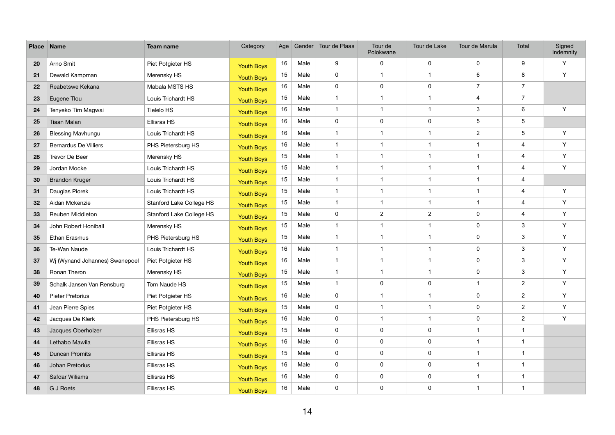| <b>Place</b> | <b>Name</b>                    | <b>Team name</b>         | Category          | Age |      | Gender Tour de Plaas | Tour de<br>Polokwane    | Tour de Lake            | Tour de Marula   | Total                   | Signed<br>Indemnity |
|--------------|--------------------------------|--------------------------|-------------------|-----|------|----------------------|-------------------------|-------------------------|------------------|-------------------------|---------------------|
| 20           | Arno Smit                      | Piet Potgieter HS        | <b>Youth Boys</b> | 16  | Male | 9                    | $\mathbf 0$             | $\mathbf 0$             | $\pmb{0}$        | 9                       | Y                   |
| 21           | Dewald Kampman                 | Merensky HS              | <b>Youth Boys</b> | 15  | Male | $\mathbf 0$          | $\overline{1}$          | $\overline{1}$          | 6                | 8                       | Y                   |
| 22           | Reabetswe Kekana               | Mabala MSTS HS           | <b>Youth Boys</b> | 16  | Male | $\mathbf 0$          | $\mathbf 0$             | $\mathbf 0$             | $\overline{7}$   | $\overline{7}$          |                     |
| 23           | Eugene Tlou                    | Louis Trichardt HS       | <b>Youth Boys</b> | 15  | Male | $\overline{1}$       | $\overline{1}$          | -1                      | 4                | $\overline{7}$          |                     |
| 24           | Tenyeko Tim Magwai             | Tielelo HS               | <b>Youth Boys</b> | 16  | Male | $\overline{1}$       | $\overline{1}$          | $\overline{1}$          | 3                | 6                       | Y                   |
| 25           | Tiaan Malan                    | Ellisras HS              | <b>Youth Boys</b> | 16  | Male | $\mathbf 0$          | $\mathbf 0$             | $\mathbf 0$             | 5                | 5                       |                     |
| 26           | <b>Blessing Mavhungu</b>       | Louis Trichardt HS       | <b>Youth Boys</b> | 16  | Male | $\overline{1}$       | $\overline{\mathbf{1}}$ | -1                      | $\boldsymbol{2}$ | 5                       | Y                   |
| 27           | <b>Bernardus De Villiers</b>   | PHS Pietersburg HS       | <b>Youth Boys</b> | 16  | Male | $\overline{1}$       | $\overline{\mathbf{1}}$ | $\overline{1}$          | $\mathbf 1$      | 4                       | Y                   |
| 28           | Trevor De Beer                 | Merensky HS              | <b>Youth Boys</b> | 15  | Male | $\overline{1}$       | 1                       | $\overline{1}$          | -1               | $\overline{\mathbf{4}}$ | Y                   |
| 29           | Jordan Mocke                   | Louis Trichardt HS       | <b>Youth Boys</b> | 15  | Male | $\overline{1}$       | 1                       | -1                      |                  | 4                       | Y                   |
| 30           | <b>Brandon Kruger</b>          | Louis Trichardt HS       | <b>Youth Boys</b> | 15  | Male | $\overline{1}$       | $\overline{\mathbf{1}}$ | $\overline{1}$          | $\mathbf 1$      | 4                       |                     |
| 31           | Dauglas Piorek                 | Louis Trichardt HS       | <b>Youth Boys</b> | 15  | Male | $\overline{1}$       | 1                       | $\overline{1}$          | -1               | $\overline{\mathbf{4}}$ | Y                   |
| 32           | Aidan Mckenzie                 | Stanford Lake College HS | <b>Youth Boys</b> | 15  | Male | $\overline{1}$       | $\overline{1}$          | -1                      | $\mathbf 1$      | 4                       | Y                   |
| 33           | Reuben Middleton               | Stanford Lake College HS | <b>Youth Boys</b> | 15  | Male | $\mathbf 0$          | $\overline{2}$          | $\overline{2}$          | 0                | 4                       | Y                   |
| 34           | John Robert Honiball           | Merensky HS              | <b>Youth Boys</b> | 15  | Male | $\overline{1}$       | 1                       | $\overline{\mathbf{1}}$ | $\pmb{0}$        | $\mathbf{3}$            | Y                   |
| 35           | Ethan Erasmus                  | PHS Pietersburg HS       | <b>Youth Boys</b> | 15  | Male | $\overline{1}$       | $\overline{1}$          | $\overline{\mathbf{1}}$ | $\pmb{0}$        | $\mathbf{3}$            | Y                   |
| 36           | Te-Wan Naude                   | Louis Trichardt HS       | <b>Youth Boys</b> | 16  | Male | $\overline{1}$       | $\overline{\mathbf{1}}$ | $\overline{1}$          | 0                | $\mathbf{3}$            | Y                   |
| 37           | Wj (Wynand Johannes) Swanepoel | Piet Potgieter HS        | <b>Youth Boys</b> | 16  | Male | $\overline{1}$       | $\overline{1}$          | $\overline{1}$          | $\pmb{0}$        | $\mathbf{3}$            | Y                   |
| 38           | Ronan Theron                   | Merensky HS              | <b>Youth Boys</b> | 15  | Male | $\overline{1}$       | $\overline{1}$          | $\overline{\mathbf{1}}$ | $\pmb{0}$        | $\mathbf{3}$            | Y                   |
| 39           | Schalk Jansen Van Rensburg     | Tom Naude HS             | <b>Youth Boys</b> | 15  | Male | $\overline{1}$       | $\mathbf 0$             | $\mathbf 0$             | $\mathbf 1$      | $\overline{2}$          | Y                   |
| 40           | <b>Pieter Pretorius</b>        | Piet Potgieter HS        | Youth Boys        | 16  | Male | $\mathbf 0$          | 1                       | -1                      | 0                | $\sqrt{2}$              | Y                   |
| 41           | Jean Pierre Spies              | Piet Potgieter HS        | <b>Youth Boys</b> | 15  | Male | $\mathbf 0$          | $\overline{1}$          | $\overline{1}$          | 0                | $\overline{2}$          | Y                   |
| 42           | Jacques De Klerk               | PHS Pietersburg HS       | <b>Youth Boys</b> | 16  | Male | $\mathbf 0$          |                         |                         | 0                | $\overline{2}$          | Y                   |
| 43           | Jacques Oberholzer             | Ellisras HS              | <b>Youth Boys</b> | 15  | Male | $\mathbf 0$          | $\mathbf 0$             | $\pmb{0}$               | $\mathbf{1}$     | $\mathbf{1}$            |                     |
| 44           | Lethabo Mawila                 | Ellisras HS              | <b>Youth Boys</b> | 16  | Male | $\mathbf 0$          | $\mathbf 0$             | $\pmb{0}$               | $\mathbf{1}$     | $\mathbf{1}$            |                     |
| 45           | <b>Duncan Promits</b>          | Ellisras HS              | <b>Youth Boys</b> | 15  | Male | $\mathbf 0$          | $\mathbf 0$             | $\pmb{0}$               | $\mathbf 1$      | $\mathbf{1}$            |                     |
| 46           | Johan Pretorius                | Ellisras HS              | <b>Youth Boys</b> | 16  | Male | $\mathbf 0$          | $\mathbf 0$             | $\pmb{0}$               | $\mathbf{1}$     | $\mathbf 1$             |                     |
| 47           | Safdar Wiliams                 | Ellisras HS              | <b>Youth Boys</b> | 16  | Male | $\mathbf 0$          | $\mathbf 0$             | $\pmb{0}$               | $\mathbf{1}$     | $\mathbf{1}$            |                     |
| 48           | G J Roets                      | Ellisras HS              | <b>Youth Boys</b> | 16  | Male | $\mathbf 0$          | $\mathbf 0$             | $\pmb{0}$               | $\mathbf{1}$     | $\mathbf{1}$            |                     |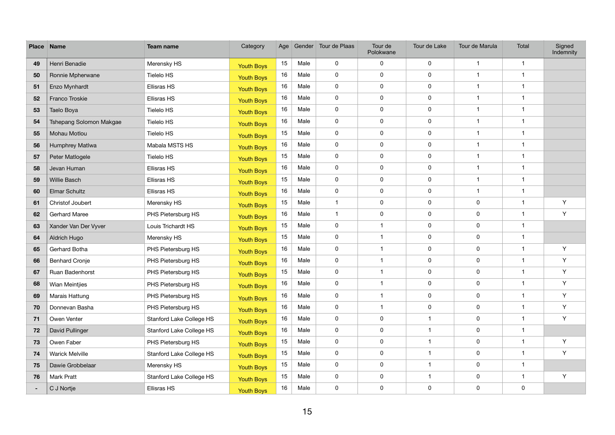| <b>Place</b> | Name                    | Team name                       | Category          | Age |      | Gender Tour de Plaas | Tour de<br>Polokwane | Tour de Lake            | Tour de Marula   | Total                   | Signed<br>Indemnity |
|--------------|-------------------------|---------------------------------|-------------------|-----|------|----------------------|----------------------|-------------------------|------------------|-------------------------|---------------------|
| 49           | Henri Benadie           | Merensky HS                     | <b>Youth Boys</b> | 15  | Male | 0                    | $\mathbf 0$          | $\mathbf 0$             | $\overline{1}$   | $\overline{1}$          |                     |
| 50           | Ronnie Mpherwane        | Tielelo HS                      | <b>Youth Boys</b> | 16  | Male | $\pmb{0}$            | $\pmb{0}$            | $\pmb{0}$               | $\overline{1}$   |                         |                     |
| 51           | Enzo Mynhardt           | Ellisras HS                     | <b>Youth Boys</b> | 16  | Male | $\mathbf 0$          | $\mathbf 0$          | $\mathbf 0$             | -1               |                         |                     |
| 52           | Franco Troskie          | Ellisras HS                     | <b>Youth Boys</b> | 16  | Male | $\mathbf 0$          | $\mathbf 0$          | $\mathbf 0$             | $\mathbf{1}$     | $\overline{\mathbf{1}}$ |                     |
| 53           | Taelo Boya              | Tielelo HS                      | <b>Youth Boys</b> | 16  | Male | $\mathbf 0$          | $\pmb{0}$            | $\pmb{0}$               | $\overline{1}$   |                         |                     |
| 54           | Tshepang Solomon Makgae | Tielelo HS                      | <b>Youth Boys</b> | 16  | Male | $\mathbf 0$          | $\mathbf 0$          | $\mathbf 0$             | $\mathbf{1}$     |                         |                     |
| 55           | Mohau Motlou            | Tielelo HS                      | <b>Youth Boys</b> | 15  | Male | $\mathbf 0$          | $\mathbf 0$          | $\mathbf 0$             | $\mathbf 1$      | -1                      |                     |
| 56           | Humphrey Matlwa         | Mabala MSTS HS                  | <b>Youth Boys</b> | 16  | Male | 0                    | $\mathbf 0$          | $\mathbf 0$             | $\mathbf 1$      |                         |                     |
| 57           | Peter Matlogele         | Tielelo HS                      | <b>Youth Boys</b> | 15  | Male | $\pmb{0}$            | $\mathbf 0$          | $\mathbf 0$             | $\mathbf{1}$     |                         |                     |
| 58           | Jevan Human             | Ellisras HS                     | <b>Youth Boys</b> | 16  | Male | $\mathbf 0$          | $\mathbf 0$          | $\mathbf 0$             | $\mathbf 1$      |                         |                     |
| 59           | Willie Basch            | Ellisras HS                     | <b>Youth Boys</b> | 15  | Male | 0                    | $\mathbf 0$          | $\mathbf 0$             | $\mathbf 1$      |                         |                     |
| 60           | Elmar Schultz           | Ellisras HS                     | <b>Youth Boys</b> | 16  | Male | $\pmb{0}$            | $\pmb{0}$            | $\mathbf 0$             | $\mathbf{1}$     |                         |                     |
| 61           | Christof Joubert        | Merensky HS                     | <b>Youth Boys</b> | 15  | Male | $\mathbf{1}$         | $\mathbf 0$          | $\mathbf 0$             | $\mathbf 0$      | $\mathbf 1$             | Y                   |
| 62           | <b>Gerhard Maree</b>    | PHS Pietersburg HS              | <b>Youth Boys</b> | 16  | Male | $\mathbf{1}$         | $\mathbf 0$          | $\mathbf 0$             | $\mathbf 0$      | 1                       | Y                   |
| 63           | Xander Van Der Vyver    | Louis Trichardt HS              | <b>Youth Boys</b> | 15  | Male | $\mathbf 0$          | $\mathbf 1$          | $\mathbf 0$             | $\boldsymbol{0}$ |                         |                     |
| 64           | Aldrich Hugo            | Merensky HS                     | <b>Youth Boys</b> | 15  | Male | $\mathbf 0$          | $\overline{1}$       | $\mathbf 0$             | $\mathbf 0$      |                         |                     |
| 65           | Gerhard Botha           | PHS Pietersburg HS              | <b>Youth Boys</b> | 16  | Male | 0                    | 1                    | $\mathbf 0$             | $\mathbf 0$      | $\overline{\mathbf{1}}$ | Y                   |
| 66           | <b>Benhard Cronje</b>   | PHS Pietersburg HS              | <b>Youth Boys</b> | 16  | Male | $\pmb{0}$            | $\mathbf 1$          | $\mathbf 0$             | $\pmb{0}$        | 1                       | Y                   |
| 67           | Ruan Badenhorst         | PHS Pietersburg HS              | <b>Youth Boys</b> | 15  | Male | $\mathbf 0$          | $\mathbf 1$          | $\pmb{0}$               | $\mathbf 0$      | $\overline{1}$          | Y                   |
| 68           | Wian Meintjies          | PHS Pietersburg HS              | <b>Youth Boys</b> | 16  | Male | $\mathbf 0$          | 1                    | $\mathbf 0$             | $\mathbf 0$      | $\mathbf 1$             | Y                   |
| 69           | Marais Hattung          | PHS Pietersburg HS              | <b>Youth Boys</b> | 16  | Male | $\mathbf 0$          | 1                    | $\mathbf 0$             | $\mathbf 0$      | $\overline{\mathbf{1}}$ | Y                   |
| 70           | Donnevan Basha          | PHS Pietersburg HS              | <b>Youth Boys</b> | 16  | Male | $\mathbf 0$          | $\mathbf{1}$         | $\mathbf 0$             | $\mathbf 0$      | $\mathbf{1}$            | Y                   |
| 71           | Owen Venter             | <b>Stanford Lake College HS</b> | <b>Youth Boys</b> | 16  | Male | $\mathbf 0$          | $\mathbf 0$          |                         | $\mathbf 0$      | $\mathbf 1$             | Y                   |
| 72           | David Pullinger         | Stanford Lake College HS        | <b>Youth Boys</b> | 16  | Male | $\mathbf 0$          | $\mathbf 0$          | $\overline{\mathbf{1}}$ | $\mathbf 0$      | $\mathbf{1}$            |                     |
| 73           | Owen Faber              | PHS Pietersburg HS              | <b>Youth Boys</b> | 15  | Male | $\mathsf{O}$         | $\mathbf 0$          | $\overline{\mathbf{1}}$ | $\mathbf 0$      | $\overline{1}$          | Y                   |
| 74           | <b>Warick Melville</b>  | Stanford Lake College HS        | <b>Youth Boys</b> | 15  | Male | $\mathbf 0$          | $\mathbf 0$          |                         | $\mathbf 0$      | $\mathbf 1$             | Y                   |
| 75           | Dawie Grobbelaar        | Merensky HS                     | <b>Youth Boys</b> | 15  | Male | $\mathbf 0$          | $\mathbf 0$          | $\overline{\mathbf{1}}$ | $\mathbf 0$      | $\mathbf{1}$            |                     |
| 76           | <b>Mark Pratt</b>       | Stanford Lake College HS        | <b>Youth Boys</b> | 15  | Male | $\overline{0}$       | $\mathbf 0$          | $\overline{\mathbf{1}}$ | $\mathbf 0$      | $\mathbf{1}$            | Y                   |
| $\sim$       | C J Nortje              | Ellisras HS                     | <b>Youth Boys</b> | 16  | Male | $\mathbf 0$          | $\mathbf 0$          | $\mathbf 0$             | $\mathbf 0$      | $\mathbf 0$             |                     |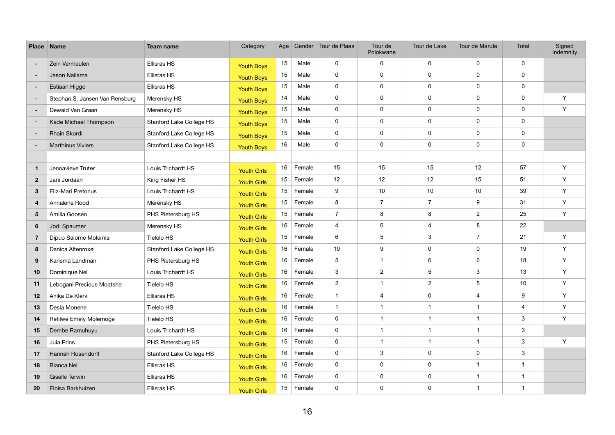| <b>Place Name</b> |                                | Team name                | Category           | Age |        | Gender Tour de Plaas | Tour de<br>Polokwane | Tour de Lake            | Tour de Marula | Total                     | Signed<br>Indemnity |
|-------------------|--------------------------------|--------------------------|--------------------|-----|--------|----------------------|----------------------|-------------------------|----------------|---------------------------|---------------------|
| ۰                 | Zein Vermeulen                 | <b>Ellisras HS</b>       | <b>Youth Boys</b>  | 15  | Male   | $\mathbf 0$          | $\pmb{0}$            | $\mathbf 0$             | $\mathbf 0$    | $\mathbf 0$               |                     |
| $\sim$            | Jason Nailama                  | Ellisras HS              | <b>Youth Boys</b>  | 15  | Male   | $\mathbf 0$          | $\pmb{0}$            | $\mathbf 0$             | $\mathbf 0$    | $\mathbf 0$               |                     |
| $\sim$            | Estiaan Higgo                  | Ellisras HS              | <b>Youth Boys</b>  | 15  | Male   | $\mathbf 0$          | $\mathbf 0$          | $\mathbf 0$             | $\mathbf 0$    | $\mathbf 0$               |                     |
| $\sim$            | Stephan.S. Jansen Van Rensburg | Merensky HS              | <b>Youth Boys</b>  | 14  | Male   | $\mathbf 0$          | $\mathbf 0$          | $\pmb{0}$               | $\pmb{0}$      | $\mathbf 0$               | Y                   |
| $\sim$            | Dewald Van Graan               | Merensky HS              | <b>Youth Boys</b>  | 15  | Male   | $\mathbf 0$          | $\pmb{0}$            | $\mathbf 0$             | $\mathbf 0$    | $\mathbf 0$               | Y                   |
| $\sim$            | Kade Michael Thompson          | Stanford Lake College HS | <b>Youth Boys</b>  | 15  | Male   | $\mathbf 0$          | $\mathbf 0$          | $\mathbf 0$             | $\mathbf 0$    | $\mathbf 0$               |                     |
| $\sim$            | <b>Rhain Skordi</b>            | Stanford Lake College HS | <b>Youth Boys</b>  | 15  | Male   | $\mathbf 0$          | $\mathbf 0$          | $\mathbf 0$             | $\mathbf 0$    | $\mathbf 0$               |                     |
| $\sim$            | <b>Marthinus Viviers</b>       | Stanford Lake College HS | <b>Youth Boys</b>  | 16  | Male   | $\mathbf 0$          | $\mathbf 0$          | $\mathbf 0$             | $\mathbf 0$    | $\mathbf 0$               |                     |
|                   |                                |                          |                    |     |        |                      |                      |                         |                |                           |                     |
| $\mathbf 1$       | Jennavieve Truter              | Louis Trichardt HS       | <b>Youth Girls</b> | 16  | Female | 15                   | 15                   | 15                      | 12             | 57                        | Y                   |
| $\overline{2}$    | Jani Jordaan                   | King Fisher HS           | <b>Youth Girls</b> | 15  | Female | 12                   | 12                   | 12                      | 15             | 51                        | Y                   |
| $3\phantom{a}$    | Eliz-Mari Pretorius            | Louis Trichardt HS       | <b>Youth Girls</b> | 15  | Female | 9                    | 10                   | 10                      | 10             | 39                        | Y                   |
| $\overline{4}$    | Annalene Rood                  | Merensky HS              | <b>Youth Girls</b> | 15  | Female | 8                    | $\overline{7}$       | $\overline{7}$          | 9              | 31                        | Y                   |
| 5 <sup>5</sup>    | Amilia Goosen                  | PHS Pietersburg HS       | <b>Youth Girls</b> | 15  | Female | $\overline{7}$       | 8                    | 8                       | $\overline{2}$ | 25                        | Y                   |
| $6\phantom{1}$    | Jodi Spaumer                   | Merensky HS              | <b>Youth Girls</b> | 16  | Female | $\overline{4}$       | 6                    | $\overline{4}$          | $\bf 8$        | 22                        |                     |
| $\overline{7}$    | Dipuo Salome Molemisi          | Tielelo HS               | <b>Youth Girls</b> | 15  | Female | 6                    | 5                    | $\mathbf{3}$            | $\overline{7}$ | 21                        | Y                   |
| 8                 | Danica Altenroxel              | Stanford Lake College HS | <b>Youth Girls</b> | 16  | Female | 10                   | 9                    | $\mathbf 0$             | $\mathbf 0$    | 19                        | Y                   |
| 9                 | Karisma Landman                | PHS Pietersburg HS       | <b>Youth Girls</b> | 16  | Female | 5                    | $\overline{1}$       | $6\phantom{1}$          | 6              | 18                        | Y                   |
| 10                | Dominique Nel                  | Louis Trichardt HS       | <b>Youth Girls</b> | 16  | Female | 3                    | $\overline{2}$       | 5                       | $\mathbf{3}$   | 13                        | Y                   |
| 11                | Lebogani Precious Moatshe      | <b>Tielelo HS</b>        | <b>Youth Girls</b> | 16  | Female | $\overline{2}$       | 1                    | $\sqrt{2}$              | 5              | 10 <sup>°</sup>           | Y                   |
| 12                | Anika De Klerk                 | <b>Ellisras HS</b>       | <b>Youth Girls</b> | 16  | Female | 1                    | 4                    | $\pmb{0}$               | $\overline{4}$ | 9                         | Y                   |
| 13                | Desia Monene                   | Tielelo HS               | <b>Youth Girls</b> | 16  | Female | $\mathbf{1}$         | 1                    | $\mathbf{1}$            | $\overline{1}$ | 4                         | Y                   |
| 14                | Refilwe Emely Molemoge         | Tielelo HS               | <b>Youth Girls</b> | 16  | Female | $\mathbf 0$          |                      |                         | $\mathbf 1$    | 3                         | Y                   |
| 15                | Dembe Ramuhuyu                 | Louis Trichardt HS       | <b>Youth Girls</b> | 16  | Female | $\mathbf 0$          | $\mathbf 1$          | $\overline{1}$          | $\mathbf{1}$   | $\mathbf{3}$              |                     |
| 16                | Juia Prins                     | PHS Pietersburg HS       | <b>Youth Girls</b> | 15  | Female | $\mathbf 0$          |                      | $\overline{\mathbf{1}}$ | $\overline{1}$ | 3                         | Y                   |
| 17                | Hannah Rosendorff              | Stanford Lake College HS | <b>Youth Girls</b> | 16  | Female | $\mathbf 0$          | 3                    | $\mathbf 0$             | $\mathbf 0$    | $\ensuremath{\mathsf{3}}$ |                     |
| 18                | Bianca Nel                     | Ellisras HS              | <b>Youth Girls</b> | 16  | Female | $\mathbf 0$          | $\mathbf 0$          | $\mathbf 0$             | $\mathbf{1}$   | $\overline{1}$            |                     |
| 19                | Giselle Terwin                 | Ellisras HS              | <b>Youth Girls</b> | 16  | Female | $\mathbf 0$          | $\mathsf{O}$         | $\pmb{0}$               | $\mathbf{1}$   | $\mathbf 1$               |                     |
| 20                | Eloisa Barkhuizen              | Ellisras HS              | <b>Youth Girls</b> | 15  | Female | $\mathbf 0$          | $\mathbf 0$          | $\mathbf 0$             | $\mathbf 1$    |                           |                     |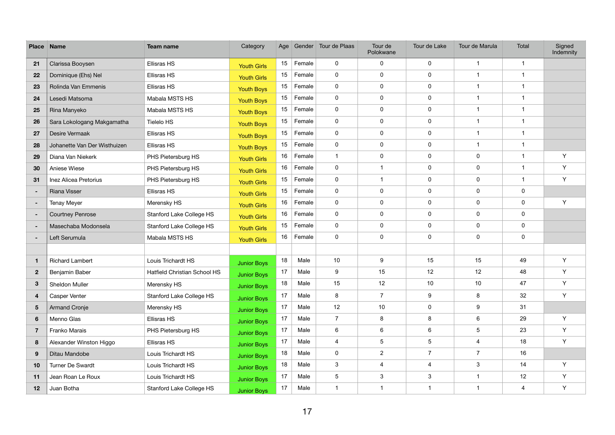| <b>Place</b>    | <b>Name</b>                  | <b>Team name</b>                    | Category           | Age |        | Gender Tour de Plaas    | Tour de<br>Polokwane    | Tour de Lake            | Tour de Marula          | <b>Total</b>   | Signed<br>Indemnity |
|-----------------|------------------------------|-------------------------------------|--------------------|-----|--------|-------------------------|-------------------------|-------------------------|-------------------------|----------------|---------------------|
| 21              | Clarissa Booysen             | Ellisras HS                         | <b>Youth Girls</b> | 15  | Female | $\mathbf 0$             | 0                       | $\pmb{0}$               | $\mathbf 1$             | $\mathbf{1}$   |                     |
| 22              | Dominique (Ehs) Nel          | Ellisras HS                         | <b>Youth Girls</b> | 15  | Female | 0                       | 0                       | $\pmb{0}$               | $\mathbf{1}$            | $\mathbf{1}$   |                     |
| 23              | Rolinda Van Emmenis          | Ellisras HS                         | <b>Youth Boys</b>  | 15  | Female | $\mathbf 0$             | $\mathbf 0$             | $\mathbf 0$             | $\mathbf 1$             | $\overline{1}$ |                     |
| 24              | Lesedi Matsoma               | Mabala MSTS HS                      | <b>Youth Boys</b>  | 15  | Female | $\mathbf 0$             | 0                       | $\mathbf 0$             | $\mathbf{1}$            | $\mathbf{1}$   |                     |
| 25              | Rina Manyeko                 | Mabala MSTS HS                      | <b>Youth Boys</b>  | 15  | Female | $\mathbf 0$             | 0                       | $\pmb{0}$               | $\mathbf{1}$            | $\mathbf{1}$   |                     |
| 26              | Sara Lokologang Makgamatha   | Tielelo HS                          | <b>Youth Boys</b>  | 15  | Female | $\mathbf 0$             | $\mathbf 0$             | $\mathbf 0$             | $\mathbf 1$             | $\overline{1}$ |                     |
| 27              | Desire Vermaak               | Ellisras HS                         | <b>Youth Boys</b>  | 15  | Female | $\mathbf 0$             | 0                       | $\mathbf 0$             | $\mathbf{1}$            | $\mathbf{1}$   |                     |
| 28              | Johanette Van Der Wisthuizen | Ellisras HS                         | <b>Youth Boys</b>  | 15  | Female | $\mathbf 0$             | 0                       | $\mathbf 0$             | $\mathbf{1}$            | $\mathbf 1$    |                     |
| 29              | Diana Van Niekerk            | PHS Pietersburg HS                  | <b>Youth Girls</b> | 16  | Female | $\overline{1}$          | 0                       | $\mathbf 0$             | $\pmb{0}$               | $\mathbf{1}$   | Y                   |
| 30              | Aniese Wiese                 | PHS Pietersburg HS                  | <b>Youth Girls</b> | 16  | Female | $\mathbf 0$             | 1                       | $\mathbf 0$             | $\pmb{0}$               | $\overline{1}$ | Y                   |
| 31              | Inez Alicea Pretorius        | PHS Pietersburg HS                  | <b>Youth Girls</b> | 15  | Female | $\mathbf 0$             | $\overline{1}$          | $\mathbf 0$             | $\pmb{0}$               | $\mathbf 1$    | Y                   |
| $\sim$          | <b>Riana Visser</b>          | Ellisras HS                         | <b>Youth Girls</b> | 15  | Female | $\mathbf 0$             | 0                       | $\mathbf 0$             | $\pmb{0}$               | $\pmb{0}$      |                     |
| ۰.              | <b>Tenay Meyer</b>           | Merensky HS                         | <b>Youth Girls</b> | 16  | Female | $\mathbf 0$             | 0                       | $\mathbf 0$             | $\pmb{0}$               | $\pmb{0}$      | Y                   |
| $\sim$          | <b>Courtney Penrose</b>      | Stanford Lake College HS            | <b>Youth Girls</b> | 16  | Female | $\mathbf 0$             | 0                       | $\mathbf 0$             | $\pmb{0}$               | $\pmb{0}$      |                     |
| ٠               | Masechaba Modonsela          | Stanford Lake College HS            | <b>Youth Girls</b> | 15  | Female | $\mathbf 0$             | $\pmb{0}$               | $\mathbf 0$             | $\pmb{0}$               | $\pmb{0}$      |                     |
| ٠               | Left Serumula                | Mabala MSTS HS                      | <b>Youth Girls</b> | 16  | Female | $\mathbf 0$             | 0                       | $\mathbf 0$             | $\pmb{0}$               | $\pmb{0}$      |                     |
|                 |                              |                                     |                    |     |        |                         |                         |                         |                         |                |                     |
| $\mathbf{1}$    | <b>Richard Lambert</b>       | Louis Trichardt HS                  | <b>Junior Boys</b> | 18  | Male   | 10 <sup>°</sup>         | 9                       | 15                      | 15                      | 49             | Y                   |
| $\mathbf{2}$    | Benjamin Baber               | <b>Hatfield Christian School HS</b> | <b>Junior Boys</b> | 17  | Male   | 9                       | 15                      | 12                      | 12                      | 48             | Y                   |
| $3\phantom{.0}$ | Sheldon Muller               | Merensky HS                         | <b>Junior Boys</b> | 18  | Male   | 15                      | 12                      | 10                      | 10                      | 47             | Y                   |
| 4               | Casper Venter                | Stanford Lake College HS            | <b>Junior Boys</b> | 17  | Male   | 8                       | $\overline{7}$          | $\boldsymbol{9}$        | 8                       | 32             | Y                   |
| $5\phantom{.0}$ | <b>Armand Cronje</b>         | Merensky HS                         | <b>Junior Boys</b> | 17  | Male   | 12                      | 10                      | $\pmb{0}$               | $\boldsymbol{9}$        | 31             |                     |
| $6\phantom{1}$  | Menno Glas                   | Ellisras HS                         | <b>Junior Boys</b> | 17  | Male   | $\overline{7}$          | 8                       | 8                       | 6                       | 29             | Y                   |
| $\overline{7}$  | Franko Marais                | PHS Pietersburg HS                  | <b>Junior Boys</b> | 17  | Male   | 6                       | 6                       | $\,6$                   | $\sqrt{5}$              | 23             | Y                   |
| 8               | Alexander Winston Higgo      | Ellisras HS                         | <b>Junior Boys</b> | 17  | Male   | $\overline{\mathbf{4}}$ | 5                       | $\overline{5}$          | $\overline{\mathbf{4}}$ | 18             | Y                   |
| 9               | Ditau Mandobe                | Louis Trichardt HS                  | <b>Junior Boys</b> | 18  | Male   | $\mathbf 0$             | $\overline{2}$          | $\overline{7}$          | $\overline{7}$          | 16             |                     |
| 10              | Turner De Swardt             | Louis Trichardt HS                  | <b>Junior Boys</b> | 18  | Male   | $\mathfrak{S}$          | $\overline{\mathbf{4}}$ | $\overline{\mathbf{4}}$ | $\mathfrak{S}$          | 14             | Y                   |
| 11              | Jean Roan Le Roux            | Louis Trichardt HS                  | <b>Junior Boys</b> | 17  | Male   | 5                       | 3                       | $\sqrt{3}$              | $\mathbf 1$             | 12             | Y                   |
| 12              | Juan Botha                   | Stanford Lake College HS            | <b>Junior Boys</b> | 17  | Male   | $\mathbf{1}$            | $\overline{\mathbf{1}}$ | -1                      | $\mathbf{1}$            | $\overline{4}$ | Y                   |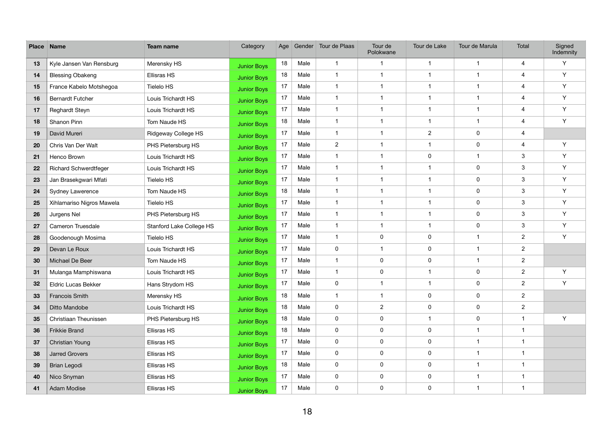| <b>Place</b> | <b>Name</b>                  | <b>Team name</b>         | Category           | Age |      | Gender Tour de Plaas | Tour de<br>Polokwane    | Tour de Lake   | Tour de Marula | <b>Total</b>            | Signed<br>Indemnity |
|--------------|------------------------------|--------------------------|--------------------|-----|------|----------------------|-------------------------|----------------|----------------|-------------------------|---------------------|
| 13           | Kyle Jansen Van Rensburg     | Merensky HS              | <b>Junior Boys</b> | 18  | Male | $\overline{1}$       | $\overline{\mathbf{1}}$ | -1             | $\mathbf{1}$   | 4                       | Y                   |
| 14           | <b>Blessing Obakeng</b>      | Ellisras HS              | <b>Junior Boys</b> | 18  | Male | $\overline{1}$       | $\overline{\mathbf{1}}$ | -1             | $\mathbf 1$    | 4                       | Y                   |
| 15           | France Kabelo Motshegoa      | Tielelo HS               | <b>Junior Boys</b> | 17  | Male | $\overline{1}$       | $\overline{1}$          | -1             | $\mathbf 1$    | 4                       | Y                   |
| 16           | <b>Bernardt Futcher</b>      | Louis Trichardt HS       | <b>Junior Boys</b> | 17  | Male | $\overline{1}$       | $\overline{1}$          | -1             | $\mathbf 1$    | 4                       | Y                   |
| 17           | Reghardt Steyn               | Louis Trichardt HS       | <b>Junior Boys</b> | 17  | Male | $\overline{1}$       | $\overline{1}$          | -1             | $\mathbf 1$    | $\overline{\mathbf{4}}$ | Y                   |
| 18           | Shanon Pinn                  | Tom Naude HS             | <b>Junior Boys</b> | 18  | Male | $\overline{1}$       | $\overline{1}$          | -1             | $\mathbf 1$    | $\overline{\mathbf{4}}$ | Y                   |
| 19           | David Mureri                 | Ridgeway College HS      | <b>Junior Boys</b> | 17  | Male | $\overline{1}$       | $\overline{1}$          | $\overline{2}$ | $\pmb{0}$      | 4                       |                     |
| 20           | Chris Van Der Walt           | PHS Pietersburg HS       | <b>Junior Boys</b> | 17  | Male | $\overline{2}$       | -1                      | -1             | 0              | 4                       | Y                   |
| 21           | Henco Brown                  | Louis Trichardt HS       | <b>Junior Boys</b> | 17  | Male | $\overline{1}$       | $\overline{1}$          | $\mathbf 0$    | $\mathbf 1$    | $\mathbf{3}$            | Y                   |
| 22           | <b>Richard Schwerdtfeger</b> | Louis Trichardt HS       | <b>Junior Boys</b> | 17  | Male | $\overline{1}$       | $\overline{1}$          | -1             | $\pmb{0}$      | $\mathbf{3}$            | Y                   |
| 23           | Jan Brasekgwari Mfati        | <b>Tielelo HS</b>        | <b>Junior Boys</b> | 17  | Male | $\overline{1}$       | -1                      | -1             | $\pmb{0}$      | $\mathbf{3}$            | Y                   |
| 24           | <b>Sydney Lawerence</b>      | Tom Naude HS             | <b>Junior Boys</b> | 18  | Male | $\overline{1}$       | $\overline{1}$          | -1             | $\pmb{0}$      | $\mathbf{3}$            | Y                   |
| 25           | Xihlamariso Nigros Mawela    | Tielelo HS               | <b>Junior Boys</b> | 17  | Male | $\overline{1}$       | $\overline{1}$          | -1             | $\pmb{0}$      | $\mathbf{3}$            | Y                   |
| 26           | Jurgens Nel                  | PHS Pietersburg HS       | <b>Junior Boys</b> | 17  | Male | $\overline{1}$       | $\overline{1}$          | -1             | $\pmb{0}$      | $\mathbf{3}$            | Y                   |
| 27           | Cameron Truesdale            | Stanford Lake College HS | <b>Junior Boys</b> | 17  | Male | $\overline{1}$       | $\overline{1}$          | -1             | $\pmb{0}$      | $\mathbf{3}$            | Y                   |
| 28           | Goodenough Mosima            | Tielelo HS               | <b>Junior Boys</b> | 17  | Male | $\overline{1}$       | 0                       | $\mathbf 0$    | $\mathbf 1$    | $\mathbf{2}$            | Y                   |
| 29           | Devan Le Roux                | Louis Trichardt HS       | <b>Junior Boys</b> | 17  | Male | 0                    | $\overline{1}$          | $\mathbf 0$    | $\mathbf 1$    | $\overline{2}$          |                     |
| 30           | Michael De Beer              | Tom Naude HS             | <b>Junior Boys</b> | 17  | Male | $\overline{1}$       | 0                       | $\pmb{0}$      | $\mathbf 1$    | $\overline{2}$          |                     |
| 31           | Mulanga Mamphiswana          | Louis Trichardt HS       | <b>Junior Boys</b> | 17  | Male | $\overline{1}$       | 0                       | $\overline{1}$ | $\pmb{0}$      | $\overline{2}$          | Y                   |
| 32           | <b>Eldric Lucas Bekker</b>   | Hans Strydom HS          | <b>Junior Boys</b> | 17  | Male | $\mathbf 0$          | $\overline{\mathbf{1}}$ | -1             | 0              | $\overline{2}$          | Y                   |
| 33           | <b>Francois Smith</b>        | Merensky HS              | <b>Junior Boys</b> | 18  | Male | $\overline{1}$       | $\overline{\mathbf{1}}$ | $\mathbf 0$    | $\pmb{0}$      | $\overline{2}$          |                     |
| 34           | Ditto Mandobe                | Louis Trichardt HS       | <b>Junior Boys</b> | 18  | Male | $\mathbf 0$          | $\overline{2}$          | $\pmb{0}$      | $\mathbf 0$    | $\overline{2}$          |                     |
| 35           | Christiaan Theunissen        | PHS Pietersburg HS       | <b>Junior Boys</b> | 18  | Male | $\mathbf 0$          | 0                       |                | $\pmb{0}$      | $\mathbf{1}$            | Y                   |
| 36           | Frikkie Brand                | Ellisras HS              | <b>Junior Boys</b> | 18  | Male | $\mathbf 0$          | $\mathbf 0$             | $\pmb{0}$      | $\mathbf 1$    | $\mathbf 1$             |                     |
| 37           | Christian Young              | Ellisras HS              | <b>Junior Boys</b> | 17  | Male | $\mathbf 0$          | 0                       | $\pmb{0}$      | $\mathbf{1}$   | $\mathbf{1}$            |                     |
| 38           | <b>Jarred Grovers</b>        | Ellisras HS              | <b>Junior Boys</b> | 17  | Male | $\mathbf 0$          | $\mathbf 0$             | $\pmb{0}$      | $\mathbf{1}$   | $\mathbf{1}$            |                     |
| 39           | Brian Legodi                 | Ellisras HS              | <b>Junior Boys</b> | 18  | Male | $\mathbf 0$          | $\mathbf 0$             | $\pmb{0}$      | $\mathbf 1$    | $\mathbf 1$             |                     |
| 40           | Nico Snyman                  | Ellisras HS              | <b>Junior Boys</b> | 17  | Male | $\mathbf 0$          | 0                       | $\pmb{0}$      | $\mathbf{1}$   | $\mathbf{1}$            |                     |
| 41           | Adam Modise                  | Ellisras HS              | <b>Junior Boys</b> | 17  | Male | $\mathbf 0$          | $\mathsf{O}$            | $\pmb{0}$      | $\mathbf{1}$   | $\mathbf{1}$            |                     |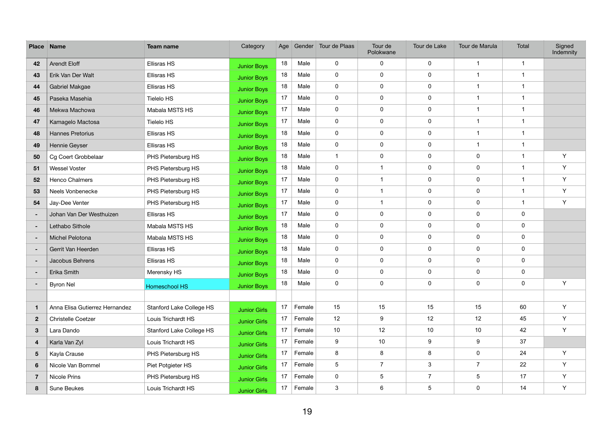| <b>Place</b>            | <b>Name</b>                    | <b>Team name</b>         | Category            | Age |        | Gender Tour de Plaas | Tour de<br>Polokwane | Tour de Lake   | Tour de Marula   | Total          | Signed<br>Indemnity |
|-------------------------|--------------------------------|--------------------------|---------------------|-----|--------|----------------------|----------------------|----------------|------------------|----------------|---------------------|
| 42                      | <b>Arendt Eloff</b>            | Ellisras HS              | <b>Junior Boys</b>  | 18  | Male   | $\mathbf 0$          | $\mathbf 0$          | $\mathbf 0$    | $\overline{1}$   | $\mathbf{1}$   |                     |
| 43                      | Erik Van Der Walt              | Ellisras HS              | <b>Junior Boys</b>  | 18  | Male   | $\mathbf 0$          | $\mathbf 0$          | $\pmb{0}$      | $\mathbf{1}$     | $\mathbf{1}$   |                     |
| 44                      | Gabriel Makgae                 | <b>Ellisras HS</b>       | <b>Junior Boys</b>  | 18  | Male   | $\mathbf 0$          | $\mathbf 0$          | $\mathbf 0$    | -1               | $\mathbf 1$    |                     |
| 45                      | Paseka Masehia                 | Tielelo HS               | <b>Junior Boys</b>  | 17  | Male   | $\mathbf 0$          | $\mathbf 0$          | $\pmb{0}$      | $\overline{1}$   | $\overline{1}$ |                     |
| 46                      | Mekwa Machowa                  | Mabala MSTS HS           | <b>Junior Boys</b>  | 17  | Male   | $\mathbf 0$          | $\mathbf 0$          | $\pmb{0}$      | $\mathbf{1}$     | $\mathbf{1}$   |                     |
| 47                      | Kamagelo Mactosa               | Tielelo HS               | <b>Junior Boys</b>  | 17  | Male   | $\mathbf 0$          | $\mathbf 0$          | $\pmb{0}$      | $\overline{1}$   | $\mathbf 1$    |                     |
| 48                      | <b>Hannes Pretorius</b>        | <b>Ellisras HS</b>       | <b>Junior Boys</b>  | 18  | Male   | $\mathbf 0$          | $\mathbf 0$          | $\pmb{0}$      | $\overline{1}$   | $\mathbf{1}$   |                     |
| 49                      | Hennie Geyser                  | Ellisras HS              | <b>Junior Boys</b>  | 18  | Male   | $\mathbf 0$          | $\mathbf 0$          | $\mathbf 0$    | $\mathbf{1}$     | $\mathbf{1}$   |                     |
| 50                      | Cg Coert Grobbelaar            | PHS Pietersburg HS       | <b>Junior Boys</b>  | 18  | Male   | $\mathbf{1}$         | $\mathbf 0$          | $\pmb{0}$      | $\pmb{0}$        | $\mathbf 1$    | Y                   |
| 51                      | <b>Wessel Voster</b>           | PHS Pietersburg HS       | <b>Junior Boys</b>  | 18  | Male   | $\mathbf 0$          | $\mathbf{1}$         | $\pmb{0}$      | $\pmb{0}$        | $\mathbf 1$    | Y                   |
| 52                      | Henco Chalmers                 | PHS Pietersburg HS       | <b>Junior Boys</b>  | 17  | Male   | $\mathbf 0$          | $\mathbf{1}$         | $\mathbf 0$    | $\mathbf 0$      | $\mathbf{1}$   | Y                   |
| 53                      | Neels Vonbenecke               | PHS Pietersburg HS       | <b>Junior Boys</b>  | 17  | Male   | $\mathbf 0$          | 1                    | $\pmb{0}$      | $\pmb{0}$        | $\mathbf 1$    | Y                   |
| 54                      | Jay-Dee Venter                 | PHS Pietersburg HS       | <b>Junior Boys</b>  | 17  | Male   | $\mathbf 0$          | $\mathbf{1}$         | $\pmb{0}$      | $\pmb{0}$        | $\mathbf{1}$   | Y                   |
| $\sim$                  | Johan Van Der Westhuizen       | Ellisras HS              | <b>Junior Boys</b>  | 17  | Male   | $\mathbf 0$          | $\mathbf 0$          | $\mathbf 0$    | $\mathbf 0$      | $\mathbf 0$    |                     |
| $\sim$                  | Lethabo Sithole                | Mabala MSTS HS           | <b>Junior Boys</b>  | 18  | Male   | $\mathbf 0$          | $\mathbf 0$          | $\pmb{0}$      | $\pmb{0}$        | $\mathbf 0$    |                     |
| $\sim$                  | Michel Pelotona                | Mabala MSTS HS           | <b>Junior Boys</b>  | 18  | Male   | $\mathbf 0$          | $\mathbf 0$          | $\pmb{0}$      | $\pmb{0}$        | $\mathbf 0$    |                     |
| $\blacksquare$          | Gerrit Van Heerden             | Ellisras HS              | <b>Junior Boys</b>  | 18  | Male   | $\mathbf 0$          | $\mathbf 0$          | $\mathbf 0$    | $\mathbf 0$      | $\mathbf 0$    |                     |
| $\sim$                  | Jacobus Behrens                | Ellisras HS              | <b>Junior Boys</b>  | 18  | Male   | $\mathbf 0$          | $\mathbf 0$          | $\pmb{0}$      | $\pmb{0}$        | $\mathbf 0$    |                     |
| $\sim$                  | Erika Smith                    | Merensky HS              | <b>Junior Boys</b>  | 18  | Male   | $\mathbf 0$          | $\mathbf 0$          | $\pmb{0}$      | $\pmb{0}$        | $\mathbf 0$    |                     |
| ۰.                      | <b>Byron Nel</b>               | Homeschool HS            | <b>Junior Boys</b>  | 18  | Male   | $\mathbf 0$          | $\mathbf 0$          | $\mathbf 0$    | $\pmb{0}$        | $\pmb{0}$      | Y                   |
|                         |                                |                          |                     |     |        |                      |                      |                |                  |                |                     |
| $\mathbf{1}$            | Anna Elisa Gutierrez Hernandez | Stanford Lake College HS | <b>Junior Girls</b> | 17  | Female | 15                   | 15                   | 15             | 15               | 60             | Y                   |
| $\overline{2}$          | <b>Christelle Coetzer</b>      | Louis Trichardt HS       | <b>Junior Girls</b> | 17  | Female | 12                   | 9                    | 12             | 12               | 45             | Y                   |
| $\mathbf{3}$            | Lara Dando                     | Stanford Lake College HS | <b>Junior Girls</b> | 17  | Female | 10                   | 12                   | 10             | 10               | 42             | Y                   |
| $\overline{\mathbf{4}}$ | Karla Van Zyl                  | Louis Trichardt HS       | <b>Junior Girls</b> | 17  | Female | 9                    | 10                   | 9              | $\boldsymbol{9}$ | 37             |                     |
| 5 <sub>5</sub>          | Kayla Crause                   | PHS Pietersburg HS       | <b>Junior Girls</b> | 17  | Female | 8                    | 8                    | 8              | $\pmb{0}$        | 24             | Y                   |
| $6\phantom{1}$          | Nicole Van Bommel              | Piet Potgieter HS        | <b>Junior Girls</b> | 17  | Female | 5                    | $\overline{7}$       | $\mathbf{3}$   | $\overline{7}$   | 22             | Y                   |
| $\overline{7}$          | Nicole Prins                   | PHS Pietersburg HS       | <b>Junior Girls</b> | 17  | Female | $\pmb{0}$            | $\overline{5}$       | $\overline{7}$ | $\sqrt{5}$       | 17             | Y                   |
| 8                       | Sune Beukes                    | Louis Trichardt HS       | <b>Junior Girls</b> | 17  | Female | $\mathfrak{S}$       | 6                    | $\overline{5}$ | $\pmb{0}$        | 14             | Y                   |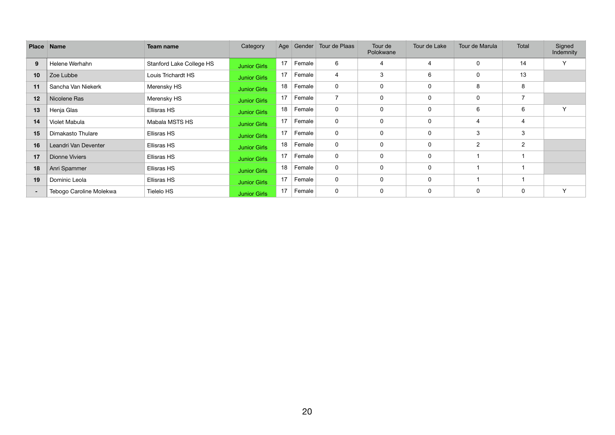| Place <sub>1</sub> | <b>Name</b>             | <b>Team name</b>         | Category            | Age |        | Gender Tour de Plaas | Tour de<br>Polokwane | Tour de Lake   | Tour de Marula | Total          | Signed<br>Indemnity |
|--------------------|-------------------------|--------------------------|---------------------|-----|--------|----------------------|----------------------|----------------|----------------|----------------|---------------------|
| 9                  | Helene Werhahn          | Stanford Lake College HS | <b>Junior Girls</b> | 17  | Female | 6                    | 4                    | $\overline{4}$ | $\mathbf 0$    | 14             | Y                   |
| 10                 | Zoe Lubbe               | Louis Trichardt HS       | <b>Junior Girls</b> | 17  | Female | 4                    | 3                    | 6              | 0              | 13             |                     |
| 11                 | Sancha Van Niekerk      | Merensky HS              | <b>Junior Girls</b> | 18  | Female | $\mathbf 0$          | $\mathbf 0$          | $\mathbf 0$    | 8              | 8              |                     |
| 12                 | Nicolene Ras            | Merensky HS              | <b>Junior Girls</b> | 17  | Female | $\overline{7}$       | 0                    | $\mathbf 0$    | $\mathbf 0$    | 7              |                     |
| 13                 | Henja Glas              | Ellisras HS              | <b>Junior Girls</b> | 18  | Female | $\mathbf 0$          | $\mathbf 0$          | $\mathbf 0$    | 6              | 6              | $\checkmark$        |
| 14                 | Violet Mabula           | Mabala MSTS HS           | <b>Junior Girls</b> | 17  | Female | $\mathbf 0$          | $\mathbf 0$          | $\Omega$       | $\overline{4}$ | 4              |                     |
| 15                 | Dimakasto Thulare       | Ellisras HS              | <b>Junior Girls</b> | 17  | Female | $\mathbf 0$          | $\mathbf 0$          | $\mathbf 0$    | 3              | 3              |                     |
| 16                 | Leandri Van Deventer    | Ellisras HS              | <b>Junior Girls</b> | 18  | Female | $\mathbf 0$          | 0                    | $\mathbf{0}$   | $\overline{2}$ | $\overline{2}$ |                     |
| 17                 | <b>Dionne Viviers</b>   | Ellisras HS              | <b>Junior Girls</b> | 17  | Female | $\mathbf 0$          | $\mathbf 0$          | 0              |                |                |                     |
| 18                 | Anri Spammer            | Ellisras HS              | <b>Junior Girls</b> | 18  | Female | $\mathbf 0$          | $\mathbf 0$          | $\mathbf 0$    |                |                |                     |
| 19                 | Dominic Leola           | Ellisras HS              | <b>Junior Girls</b> | 17  | Female | $\mathbf 0$          | $\mathbf 0$          | $\mathbf 0$    |                |                |                     |
| $\sim$             | Tebogo Caroline Molekwa | Tielelo HS               | <b>Junior Girls</b> | 17  | Female | 0                    | 0                    | $\mathbf 0$    | 0              | 0              | $\checkmark$        |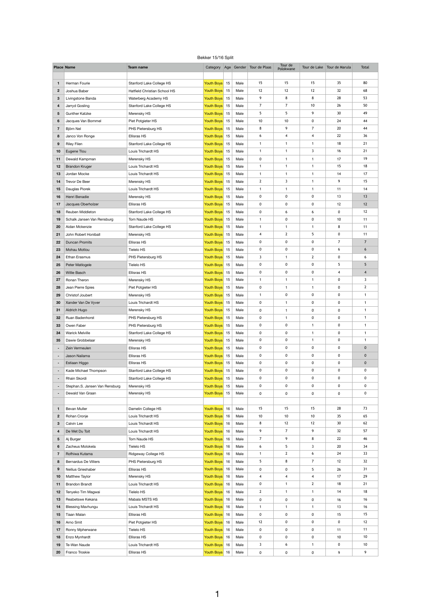## Bekker 15/16 Split

|                  | <b>Place Name</b>          | <b>Team name</b>                | Category                 | Age Gender | Tour de Plaas           | Tour de<br>Polokwane |                         | Tour de Lake   Tour de Marula | Total           |
|------------------|----------------------------|---------------------------------|--------------------------|------------|-------------------------|----------------------|-------------------------|-------------------------------|-----------------|
|                  |                            |                                 |                          |            |                         |                      |                         |                               |                 |
| $\mathbf{1}$     | Herman Fourie              | Stanford Lake College HS        | Youth Boys 15            | Male       | 15                      | 15                   | 15                      | 35                            | 80              |
| $\boldsymbol{2}$ | Joshua Baber               | Hatfield Christian School HS    | Youth Boys 15            | Male       | 12                      | 12                   | 12                      | 32                            | 68              |
| 3                | Livingstone Banda          | Waterberg Academy HS            | Youth Boys 15            | Male       | 9                       | 8                    | 8                       | 28                            | 53              |
| $\overline{4}$   | Jarryd Gosling             | Stanford Lake College HS        | Youth Boys 15            | Male       | $\overline{7}$          | $\overline{7}$       | 10                      | 26                            | 50              |
| 5                | <b>Gunther Katzke</b>      | Merensky HS                     | Youth Boys 15            | Male       | 5                       | 5                    | 9                       | 30                            | 49              |
| 6                | Jacques Van Bommel         | Piet Potgieter HS               | Youth Boys 15            | Male       | 10                      | 10                   | 0                       | 24                            | 44              |
| $\overline{7}$   | Björn Nel                  | PHS Pietersburg HS              | Youth Boys 15            | Male       | 8                       | 9                    | $\overline{7}$          | 20                            | 44              |
| 8                | Janco Von Ronge            | Ellisras HS                     | Youth Boys 15            | Male       | 6                       | 4                    | $\overline{\mathbf{4}}$ | 22                            | 36              |
| 9                | <b>Riley Filen</b>         | Stanford Lake College HS        | Youth Boys 15            | Male       | $\mathbf 1$             | 1                    | $\mathbf{1}$            | 18                            | 21              |
| 10               | Eugene Tlou                | Louis Trichardt HS              | Youth Boys 15            | Male       | $\mathbf 1$             | $\mathbf{1}$         | $\mathbf{3}$            | 16                            | 21              |
| 11               | Dewald Kampman             | Merensky HS                     | Youth Boys 15            | Male       | $\pmb{0}$               | 1                    | $\mathbf{1}$            | 17                            | 19              |
| 12               | <b>Brandon Kruger</b>      | Louis Trichardt HS              | Youth Boys 15            | Male       | $\mathbf{1}$            | $\mathbf{1}$         | $\mathbf{1}$            | 15                            | 18              |
| 13               | Jordan Mocke               | Louis Trichardt HS              | Youth Boys 15            | Male       | $\mathbf 1$             | $\mathbf{1}$         | $\mathbf{1}$            | 14                            | 17              |
| 14               | Trevor De Beer             | Merensky HS                     | Youth Boys 15            | Male       | $\mathbf{2}$            | 3                    | $\mathbf{1}$            | 9                             | 15              |
| 15               | Dauglas Piorek             | Louis Trichardt HS              | Youth Boys 15            | Male       | 1                       | $\mathbf{1}$         | $\mathbf{1}$            | 11                            | 14              |
| 16               | Henri Benadie              | Merensky HS                     | Youth Boys 15            | Male       | 0                       | 0                    | 0                       | 13                            | 13              |
| 17               | Jacques Oberholzer         | <b>Ellisras HS</b>              | Youth Boys 15            | Male       | $\mathbf 0$             | 0                    | 0                       | 12                            | 12              |
| 18               | Reuben Middleton           | <b>Stanford Lake College HS</b> | Youth Boys 15            | Male       | 0                       | 6                    | 6                       | $\mathbf 0$                   | 12              |
| 19               | Schalk Jansen Van Rensburg | Tom Naude HS                    | Youth Boys 15            | Male       | 1                       | 0                    | $\pmb{0}$               | 10                            | 11              |
| 20               | Aidan Mckenzie             | Stanford Lake College HS        | Youth Boys 15            | Male       |                         |                      |                         | 8                             | 11              |
| 21               | John Robert Honiball       | Merensky HS                     | Youth Boys 15            | Male       | $\overline{\mathbf{4}}$ | $\mathbf{2}$         | 5                       | $\mathbf 0$                   | 11              |
| 22               | <b>Duncan Promits</b>      | Ellisras HS                     | Youth Boys <sup>15</sup> | Male       | 0                       | 0                    | 0                       | $\overline{7}$                | $\overline{7}$  |
| 23               | Mohau Motlou               | <b>Tielelo HS</b>               | Youth Boys 15            | Male       | 0                       | 0                    | $\boldsymbol{0}$        | 6                             | $6\phantom{.}6$ |
| 24               | Ethan Erasmus              | PHS Pietersburg HS              | Youth Boys 15            | Male       | 3                       | $\mathbf{1}$         | $2^{\circ}$             | $\boldsymbol{0}$              | 6               |
| 25               | Peter Matlogele            | Tielelo HS                      | Youth Boys 15            | Male       | 0                       | 0                    | 0                       | 5                             | 5               |
| 26               | Willie Basch               | Ellisras HS                     | Youth Boys 15            | Male       | 0                       | 0                    | $\pmb{0}$               | $\overline{4}$                | $\overline{4}$  |
| 27               | Ronan Theron               | Merensky HS                     | Youth Boys <sup>15</sup> | Male       | $\mathbf 1$             | $\mathbf{1}$         | $\mathbf{1}$            | $\boldsymbol{0}$              | 3               |
| 28               | Jean Pierre Spies          | Piet Potgieter HS               | Youth Boys 15            | Male       | 0                       | $\mathbf{1}$         | $\mathbf{1}$            | $\boldsymbol{0}$              | $\overline{2}$  |
| 29               | Christof Joubert           | Merensky HS                     | Youth Boys 15            | Male       | $\mathbf 1$             | 0                    | $\pmb{0}$               | $\boldsymbol{0}$              | $\mathbf 1$     |
| 30               | Xander Van De Vyver        | Louis Trichardt HS              | Youth Boys 15            | Male       | 0                       | $\mathbf{1}$         | 0                       | $\pmb{0}$                     | $\mathbf 1$     |
| 31               | <b>Aldrich Hugo</b>        | Merensky HS                     | Youth Boys 15            | Male       | 0                       | 1                    | 0                       | $\boldsymbol{0}$              | -1              |
| 32               | Ruan Badenhorst            | PHS Pietersburg HS              | Youth Boys 15            | Male       | $\pmb{0}$               | 1                    | $\pmb{0}$               | $\pmb{0}$                     | $\mathbf{1}$    |

| 34             | <b>Warick Melville</b>         | Stanford Lake College HS | Youth Boys 15 | Male | $\mathbf 0$      | $\mathbf 0$             |                      | $\mathbf 0$ |             |
|----------------|--------------------------------|--------------------------|---------------|------|------------------|-------------------------|----------------------|-------------|-------------|
| 35             | Dawie Grobbelaar               | Merensky HS              | Youth Boys 15 | Male | $\mathbf 0$      | 0                       | $\blacktriangleleft$ | $\mathbf 0$ |             |
|                | Zein Vermeulen                 | Ellisras HS              | Youth Boys 15 | Male | $\mathbf 0$      | $\mathbf 0$             | $\mathbf 0$          | $\mathbf 0$ | 0           |
|                | Jason Nailama                  | Ellisras HS              | Youth Boys 15 | Male | $\mathbf 0$      | $\mathbf 0$             | $\mathbf 0$          | $\mathbf 0$ | 0           |
|                | Estiaan Higgo                  | Ellisras HS              | Youth Boys 15 | Male | $\mathbf 0$      | $\mathbf 0$             | $\mathbf 0$          | $\mathbf 0$ | $\mathbf 0$ |
|                | Kade Michael Thompson          | Stanford Lake College HS | Youth Boys 15 | Male | $\mathbf 0$      | 0                       | $\mathbf 0$          | $\mathbf 0$ | 0           |
|                | Rhain Skordi                   | Stanford Lake College HS | Youth Boys 15 | Male | $\mathbf 0$      | 0                       | $\mathbf 0$          | $\mathbf 0$ | 0           |
|                | Stephan.S. Jansen Van Rensburg | Merensky HS              | Youth Boys 15 | Male | $\mathbf 0$      | 0                       | $\mathbf 0$          | $\mathbf 0$ | 0           |
|                | Dewald Van Graan               | Merensky HS              | Youth Boys 15 | Male | $\mathbf 0$      | $\mathbf 0$             | $\mathbf 0$          | $\mathbf 0$ | 0           |
|                |                                |                          |               |      |                  |                         |                      |             |             |
| $\mathbf 1$    | <b>Bevan Muller</b>            | Damelin College HS       | Youth Boys 16 | Male | 15               | 15                      | 15                   | 28          | 73          |
| $\mathbf 2$    | Rohan Cronje                   | Louis Trichardt HS       | Youth Boys 16 | Male | 10               | 10                      | 10                   | 35          | 65          |
| 3              | Calvin Lee                     | Louis Trichardt HS       | Youth Boys 16 | Male | 8                | 12                      | 12                   | 30          | 62          |
| $\overline{4}$ | De Wet Du Toit                 | Louis Trichardt HS       | Youth Boys 16 | Male | 9                | $\overline{7}$          | 9                    | 32          | 57          |
| 5              | Aj Burger                      | Tom Naude HS             | Youth Boys 16 | Male | $\overline{7}$   | 9                       | 8                    | 22          | 46          |
| 6              | Zacheus Molokela               | <b>Tielelo HS</b>        | Youth Boys 16 | Male | 6                | $5\phantom{.0}$         | 3                    | 20          | 34          |
| 7              | Rofhiwa Kutama                 | Ridgeway College HS      | Youth Boys 16 | Male | $\mathbf{1}$     | $2^{\circ}$             | 6                    | 24          | 33          |
| 8              | <b>Bernardus De Villiers</b>   | PHS Pietersburg HS       | Youth Boys 16 | Male | 5                | 8                       | $\overline{7}$       | 12          | 32          |
| 9              | Neilius Grieshaber             | Ellisras HS              | Youth Boys 16 | Male | $\mathbf 0$      | 0                       | 5                    | 26          | 31          |
| 10             | Matthew Taylor                 | Merensky HS              | Youth Boys 16 | Male | 4                | $\overline{\mathbf{4}}$ | 4                    | 17          | 29          |
| 11             | <b>Brandon Brandt</b>          | Louis Trichardt HS       | Youth Boys 16 | Male | $\mathbf 0$      | -1                      | $\mathbf{2}$         | 18          | 21          |
| 12             | Tenyeko Tim Magwai             | <b>Tielelo HS</b>        | Youth Boys 16 | Male | $\mathbf{2}$     | -1                      |                      | 14          | 18          |
| 13             | Reabetswe Kekana               | Mabala MSTS HS           | Youth Boys 16 | Male | $\mathbf 0$      | $\mathbf 0$             | 0                    | 16          | 16          |
| 14             | <b>Blessing Mavhungu</b>       | Louis Trichardt HS       | Youth Boys 16 | Male | $\mathbf{1}$     | $\mathbf 1$             | 1                    | 13          | 16          |
| 15             | Tiaan Malan                    | Ellisras HS              | Youth Boys 16 | Male | $\boldsymbol{0}$ | 0                       | 0                    | 15          | 15          |
| 16             | Arno Smit                      | Piet Potgieter HS        | Youth Boys 16 | Male | 12               | 0                       | 0                    | $\mathbf 0$ | 12          |
| 17             | Ronny Mpherwane                | <b>Tielelo HS</b>        | Youth Boys 16 | Male | $\boldsymbol{0}$ | 0                       | 0                    | 11          | 11          |
| 18             | Enzo Mynhardt                  | Ellisras HS              | Youth Boys 16 | Male | $\boldsymbol{0}$ | 0                       | 0                    | 10          | 10          |
| 19             | Te-Wan Naude                   | Louis Trichardt HS       | Youth Boys 16 | Male | 3                | 6                       | 1                    | $\mathbf 0$ | 10          |
| 20             | Franco Troskie                 | Ellisras HS              | Youth Boys 16 | Male | $\mathbf 0$      | $\bf{0}$                | $\mathbf 0$          | 9           | 9           |

Owen Faber **Conser Conserve The PHS Pietersburg HS Provision Conserved Prouth Boys** 15 Male 0 0 1 0 1 1 0 1 1 1 1 0 1